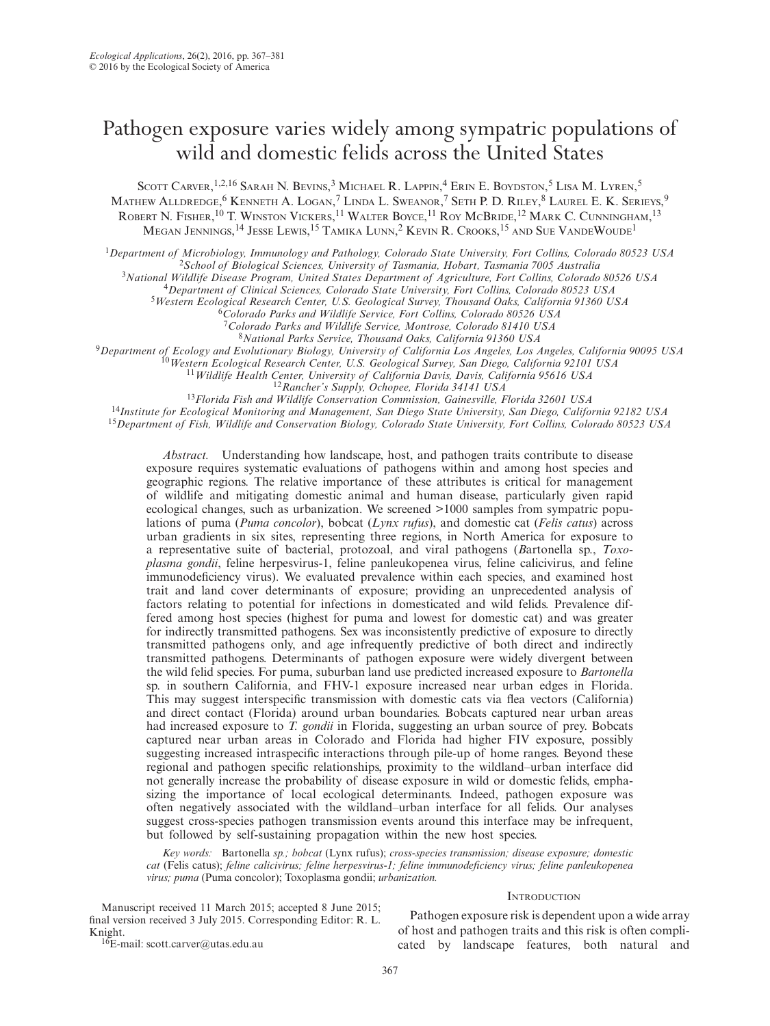# Pathogen exposure varies widely among sympatric populations of wild and domestic felids across the United States

Scott Carver,<sup>1,2,16</sup> Sarah N. Bevins,<sup>3</sup> Michael R. Lappin,<sup>4</sup> Erin E. Boydston,<sup>5</sup> Lisa M. Lyren,<sup>5</sup> Mathew Alldredge, <sup>6</sup> Kenneth A. Logan, <sup>7</sup> Linda L. Sweanor, <sup>7</sup> Seth P. D. Riley, <sup>8</sup> Laurel E. K. Serieys, <sup>9</sup> ROBERT N. FISHER, <sup>10</sup> T. WINSTON VICKERS, <sup>11</sup> WALTER BOYCE, <sup>11</sup> ROY MCBRIDE, <sup>12</sup> MARK C. CUNNINGHAM, <sup>13</sup>

Megan Jennings, $^{14}$  Jesse Lewis, $^{15}$  Tamika Lunn, $^2$  Kevin R. Crooks, $^{15}$  and Sue VandeWoude<sup>1</sup>

 $^1\emph{Department of Microbiology, Immunology and Pathology, Colorado State University, Fort Collins, Colorado 80523 USA  
\n $^2$ School of Biological Sciences, University of Tasmania, Hobart, Tasmania 7005 Australia  
\n $^3$ National Wildlife Disease Program, United States Department of Agriculture, Fort Collins, Colorado 80526 USA  
\n $^4$ Department of Clinical Sciences, Colorado State University, Fort Collins, Colorado 80523 USA  
\n $^5$ Western Ecological Research Center, U.S. Geological Survey, thousand Oaks, California 91360 USA  
\n $^6$  Colorado Parks and Wildlife Service, Fort Collins, Colorado 80526 USA  
\n $^7$$ 

<sup>8</sup>National Parks Service, Thousand Oaks, California 91360 USA<br><sup>8</sup>Nepartment of Ecology and Evolutionary Biology, University of California Los Angeles, Los Angeles, California 90095 USA<br><sup>10</sup>Western Ecological Research Cent

*Abstract.* Understanding how landscape, host, and pathogen traits contribute to disease exposure requires systematic evaluations of pathogens within and among host species and geographic regions. The relative importance of these attributes is critical for management of wildlife and mitigating domestic animal and human disease, particularly given rapid ecological changes, such as urbanization. We screened >1000 samples from sympatric populations of puma (*Puma concolor*), bobcat (*Lynx rufus*), and domestic cat (*Felis catus*) across urban gradients in six sites, representing three regions, in North America for exposure to a representative suite of bacterial, protozoal, and viral pathogens (*B*artonella sp., *Toxoplasma gondii*, feline herpesvirus-1, feline panleukopenea virus, feline calicivirus, and feline immunodeficiency virus). We evaluated prevalence within each species, and examined host trait and land cover determinants of exposure; providing an unprecedented analysis of factors relating to potential for infections in domesticated and wild felids. Prevalence differed among host species (highest for puma and lowest for domestic cat) and was greater for indirectly transmitted pathogens. Sex was inconsistently predictive of exposure to directly transmitted pathogens only, and age infrequently predictive of both direct and indirectly transmitted pathogens. Determinants of pathogen exposure were widely divergent between the wild felid species. For puma, suburban land use predicted increased exposure to *Bartonella* sp. in southern California, and FHV-1 exposure increased near urban edges in Florida. This may suggest interspecific transmission with domestic cats via flea vectors (California) and direct contact (Florida) around urban boundaries. Bobcats captured near urban areas had increased exposure to *T. gondii* in Florida, suggesting an urban source of prey. Bobcats captured near urban areas in Colorado and Florida had higher FIV exposure, possibly suggesting increased intraspecific interactions through pile-up of home ranges. Beyond these regional and pathogen specific relationships, proximity to the wildland–urban interface did not generally increase the probability of disease exposure in wild or domestic felids, emphasizing the importance of local ecological determinants. Indeed, pathogen exposure was often negatively associated with the wildland–urban interface for all felids. Our analyses suggest cross-species pathogen transmission events around this interface may be infrequent, but followed by self-sustaining propagation within the new host species.

*Key words:* Bartonella *sp.; bobcat* (Lynx rufus); *cross-species transmission; disease exposure; domestic cat* (Felis catus); *feline calicivirus; feline herpesvirus-1; feline immunodeficiency virus; feline panleukopenea virus; puma* (Puma concolor); Toxoplasma gondii; *urbanization.*

#### **INTRODUCTION**

Manuscript received 11 March 2015; accepted 8 June 2015; final version received 3 July 2015. Corresponding Editor: R. L. Knight.<br><sup>16</sup>E-mail: [scott.carver@utas.edu.au](mailto:scott.carver@utas.edu.au)

Pathogen exposure risk is dependent upon a wide array of host and pathogen traits and this risk is often complicated by landscape features, both natural and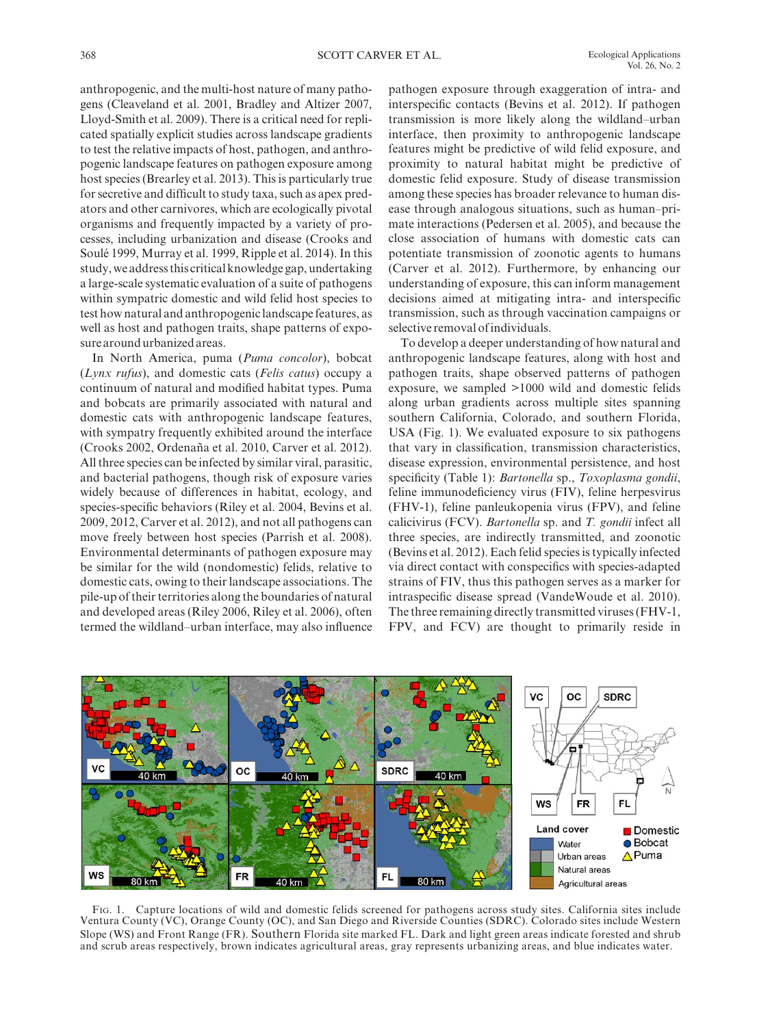anthropogenic, and the multi-host nature of many pathogens (Cleaveland et al. 2001, Bradley and Altizer 2007, Lloyd-Smith et al. 2009). There is a critical need for replicated spatially explicit studies across landscape gradients to test the relative impacts of host, pathogen, and anthropogenic landscape features on pathogen exposure among host species (Brearley et al. 2013). This is particularly true for secretive and difficult to study taxa, such as apex predators and other carnivores, which are ecologically pivotal organisms and frequently impacted by a variety of processes, including urbanization and disease (Crooks and Soulé 1999, Murray et al. 1999, Ripple et al. 2014). In this study, we address this critical knowledge gap, undertaking a large-scale systematic evaluation of a suite of pathogens within sympatric domestic and wild felid host species to test how natural and anthropogenic landscape features, as well as host and pathogen traits, shape patterns of exposure around urbanized areas.

In North America, puma (*Puma concolor*), bobcat (*Lynx rufus*), and domestic cats (*Felis catus*) occupy a continuum of natural and modified habitat types. Puma and bobcats are primarily associated with natural and domestic cats with anthropogenic landscape features, with sympatry frequently exhibited around the interface (Crooks 2002, Ordenaña et al. 2010, Carver et al. 2012). All three species can be infected by similar viral, parasitic, and bacterial pathogens, though risk of exposure varies widely because of differences in habitat, ecology, and species-specific behaviors (Riley et al. 2004, Bevins et al. 2009, 2012, Carver et al. 2012), and not all pathogens can move freely between host species (Parrish et al. 2008). Environmental determinants of pathogen exposure may be similar for the wild (nondomestic) felids, relative to domestic cats, owing to their landscape associations. The pile-up of their territories along the boundaries of natural and developed areas (Riley 2006, Riley et al. 2006), often termed the wildland–urban interface, may also influence pathogen exposure through exaggeration of intra- and interspecific contacts (Bevins et al. 2012). If pathogen transmission is more likely along the wildland–urban interface, then proximity to anthropogenic landscape features might be predictive of wild felid exposure, and proximity to natural habitat might be predictive of domestic felid exposure. Study of disease transmission among these species has broader relevance to human disease through analogous situations, such as human–primate interactions (Pedersen et al. 2005), and because the close association of humans with domestic cats can potentiate transmission of zoonotic agents to humans (Carver et al. 2012). Furthermore, by enhancing our understanding of exposure, this can inform management decisions aimed at mitigating intra- and interspecific transmission, such as through vaccination campaigns or selective removal of individuals.

To develop a deeper understanding of how natural and anthropogenic landscape features, along with host and pathogen traits, shape observed patterns of pathogen exposure, we sampled >1000 wild and domestic felids along urban gradients across multiple sites spanning southern California, Colorado, and southern Florida, USA (Fig. 1). We evaluated exposure to six pathogens that vary in classification, transmission characteristics, disease expression, environmental persistence, and host specificity (Table 1): *Bartonella* sp., *Toxoplasma gondii*, feline immunodeficiency virus (FIV), feline herpesvirus (FHV-1), feline panleukopenia virus (FPV), and feline calicivirus (FCV). *Bartonella* sp. and *T. gondii* infect all three species, are indirectly transmitted, and zoonotic (Bevins et al. 2012). Each felid species is typically infected via direct contact with conspecifics with species-adapted strains of FIV, thus this pathogen serves as a marker for intraspecific disease spread (VandeWoude et al. 2010). The three remaining directly transmitted viruses (FHV-1, FPV, and FCV) are thought to primarily reside in



Fig. 1. Capture locations of wild and domestic felids screened for pathogens across study sites. California sites include Ventura County (VC), Orange County (OC), and San Diego and Riverside Counties (SDRC). Colorado sites include Western Slope (WS) and Front Range (FR). Southern Florida site marked FL. Dark and light green areas indicate forested and shrub and scrub areas respectively, brown indicates agricultural areas, gray represents urbanizing areas, and blue indicates water.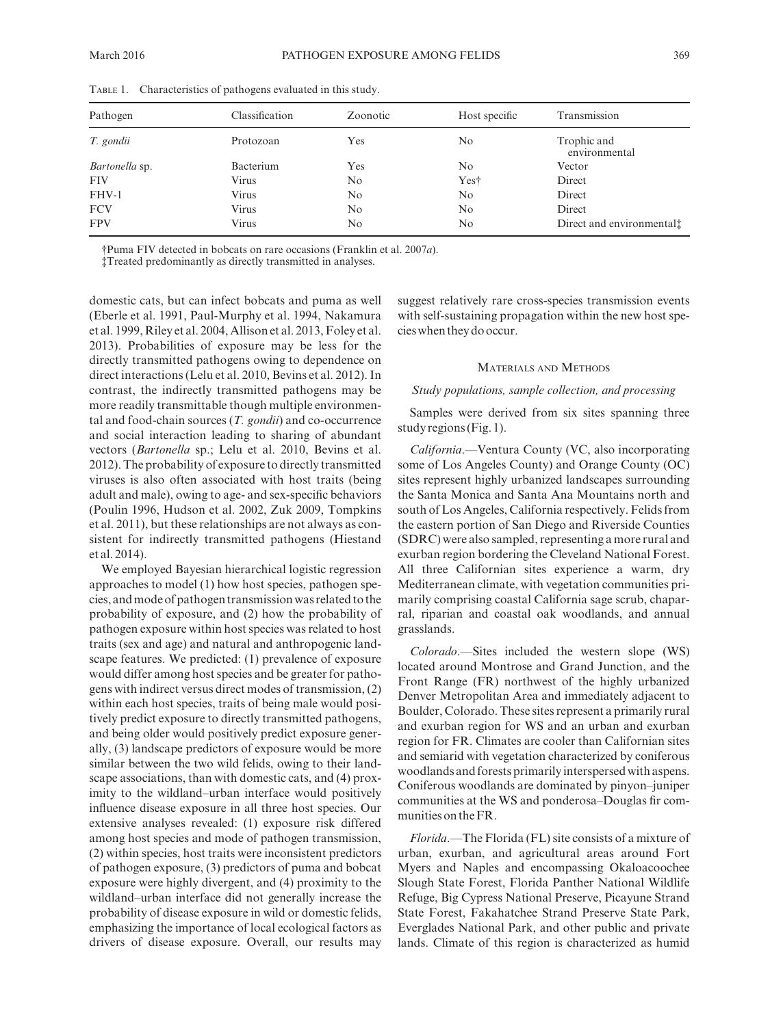| Pathogen       | Classification | Zoonotic       | Host specific | Transmission                 |  |  |  |  |  |
|----------------|----------------|----------------|---------------|------------------------------|--|--|--|--|--|
| T. gondii      | Protozoan      | Yes            | No            | Trophic and<br>environmental |  |  |  |  |  |
| Bartonella sp. | Bacterium      | Yes            | No            | Vector                       |  |  |  |  |  |
| <b>FIV</b>     | Virus          | No             | Yes†          | Direct                       |  |  |  |  |  |
| $FHV-1$        | Virus          | No             | No            | Direct                       |  |  |  |  |  |
| <b>FCV</b>     | Virus          | N <sub>0</sub> | No            | Direct                       |  |  |  |  |  |
| <b>FPV</b>     | Virus          | No             | No            | Direct and environmental:    |  |  |  |  |  |

TABLE 1. Characteristics of pathogens evaluated in this study.

†Puma FIV detected in bobcats on rare occasions (Franklin et al. 2007*a*).

‡Treated predominantly as directly transmitted in analyses.

domestic cats, but can infect bobcats and puma as well (Eberle et al. 1991, Paul-Murphy et al. 1994, Nakamura et al. 1999, Riley et al. 2004, Allison et al. 2013, Foley et al. 2013). Probabilities of exposure may be less for the directly transmitted pathogens owing to dependence on direct interactions (Lelu et al. 2010, Bevins et al. 2012). In contrast, the indirectly transmitted pathogens may be more readily transmittable though multiple environmental and food-chain sources (*T. gondii*) and co-occurrence and social interaction leading to sharing of abundant vectors (*Bartonella* sp.; Lelu et al. 2010, Bevins et al. 2012). The probability of exposure to directly transmitted viruses is also often associated with host traits (being adult and male), owing to age- and sex-specific behaviors (Poulin 1996, Hudson et al. 2002, Zuk 2009, Tompkins et al. 2011), but these relationships are not always as consistent for indirectly transmitted pathogens (Hiestand et al. 2014).

We employed Bayesian hierarchical logistic regression approaches to model (1) how host species, pathogen species, and mode of pathogen transmission was related to the probability of exposure, and (2) how the probability of pathogen exposure within host species was related to host traits (sex and age) and natural and anthropogenic landscape features. We predicted: (1) prevalence of exposure would differ among host species and be greater for pathogens with indirect versus direct modes of transmission, (2) within each host species, traits of being male would positively predict exposure to directly transmitted pathogens, and being older would positively predict exposure generally, (3) landscape predictors of exposure would be more similar between the two wild felids, owing to their landscape associations, than with domestic cats, and (4) proximity to the wildland–urban interface would positively influence disease exposure in all three host species. Our extensive analyses revealed: (1) exposure risk differed among host species and mode of pathogen transmission, (2) within species, host traits were inconsistent predictors of pathogen exposure, (3) predictors of puma and bobcat exposure were highly divergent, and (4) proximity to the wildland–urban interface did not generally increase the probability of disease exposure in wild or domestic felids, emphasizing the importance of local ecological factors as drivers of disease exposure. Overall, our results may suggest relatively rare cross-species transmission events with self-sustaining propagation within the new host species when they do occur.

#### Materials and Methods

## *Study populations, sample collection, and processing*

Samples were derived from six sites spanning three study regions (Fig. 1).

*California*.—Ventura County (VC, also incorporating some of Los Angeles County) and Orange County (OC) sites represent highly urbanized landscapes surrounding the Santa Monica and Santa Ana Mountains north and south of Los Angeles, California respectively. Felids from the eastern portion of San Diego and Riverside Counties (SDRC) were also sampled, representing a more rural and exurban region bordering the Cleveland National Forest. All three Californian sites experience a warm, dry Mediterranean climate, with vegetation communities primarily comprising coastal California sage scrub, chaparral, riparian and coastal oak woodlands, and annual grasslands.

*Colorado*.—Sites included the western slope (WS) located around Montrose and Grand Junction, and the Front Range (FR) northwest of the highly urbanized Denver Metropolitan Area and immediately adjacent to Boulder, Colorado. These sites represent a primarily rural and exurban region for WS and an urban and exurban region for FR. Climates are cooler than Californian sites and semiarid with vegetation characterized by coniferous woodlands and forests primarily interspersed with aspens. Coniferous woodlands are dominated by pinyon–juniper communities at the WS and ponderosa–Douglas fir communities on the FR.

*Florida*.—The Florida (FL) site consists of a mixture of urban, exurban, and agricultural areas around Fort Myers and Naples and encompassing Okaloacoochee Slough State Forest, Florida Panther National Wildlife Refuge, Big Cypress National Preserve, Picayune Strand State Forest, Fakahatchee Strand Preserve State Park, Everglades National Park, and other public and private lands. Climate of this region is characterized as humid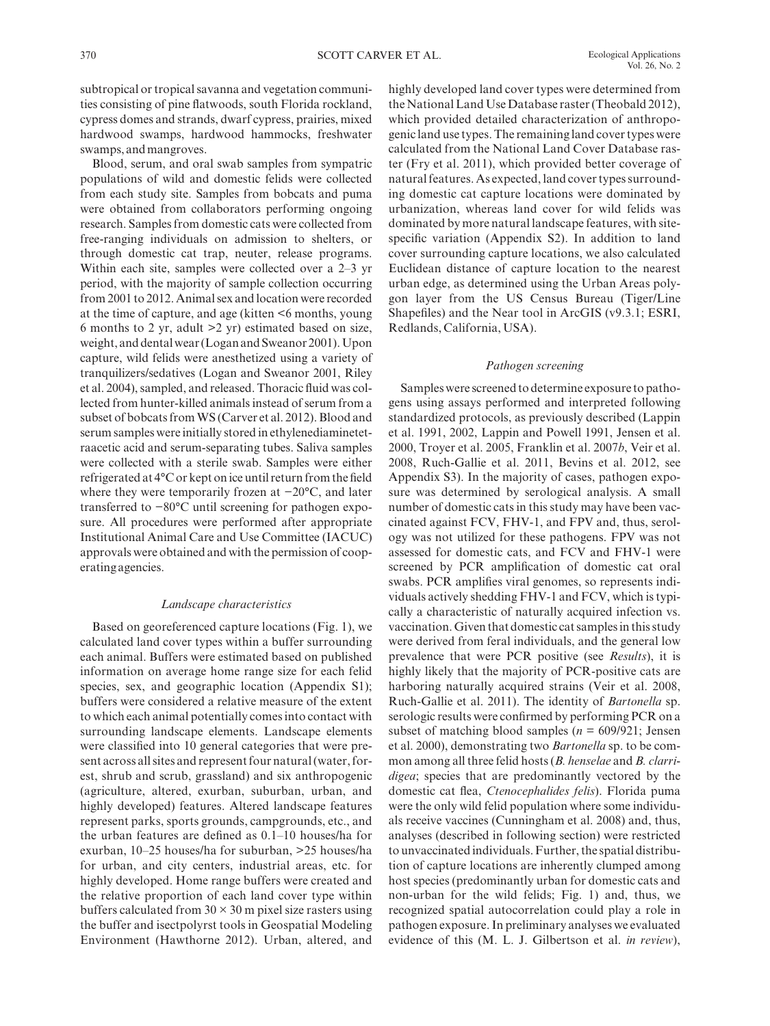subtropical or tropical savanna and vegetation communities consisting of pine flatwoods, south Florida rockland, cypress domes and strands, dwarf cypress, prairies, mixed hardwood swamps, hardwood hammocks, freshwater swamps, and mangroves.

Blood, serum, and oral swab samples from sympatric populations of wild and domestic felids were collected from each study site. Samples from bobcats and puma were obtained from collaborators performing ongoing research. Samples from domestic cats were collected from free-ranging individuals on admission to shelters, or through domestic cat trap, neuter, release programs. Within each site, samples were collected over a 2–3 yr period, with the majority of sample collection occurring from 2001 to 2012. Animal sex and location were recorded at the time of capture, and age (kitten <6 months, young 6 months to 2 yr, adult >2 yr) estimated based on size, weight, and dental wear (Logan and Sweanor 2001). Upon capture, wild felids were anesthetized using a variety of tranquilizers/sedatives (Logan and Sweanor 2001, Riley et al. 2004), sampled, and released. Thoracic fluid was collected from hunter-killed animals instead of serum from a subset of bobcats from WS (Carver et al. 2012). Blood and serum samples were initially stored in ethylenediaminetetraacetic acid and serum-separating tubes. Saliva samples were collected with a sterile swab. Samples were either refrigerated at 4°C or kept on ice until return from the field where they were temporarily frozen at −20°C, and later transferred to −80°C until screening for pathogen exposure. All procedures were performed after appropriate Institutional Animal Care and Use Committee (IACUC) approvals were obtained and with the permission of cooperating agencies.

#### *Landscape characteristics*

Based on georeferenced capture locations (Fig. 1), we calculated land cover types within a buffer surrounding each animal. Buffers were estimated based on published information on average home range size for each felid species, sex, and geographic location (Appendix S1); buffers were considered a relative measure of the extent to which each animal potentially comes into contact with surrounding landscape elements. Landscape elements were classified into 10 general categories that were present across all sites and represent four natural (water, forest, shrub and scrub, grassland) and six anthropogenic (agriculture, altered, exurban, suburban, urban, and highly developed) features. Altered landscape features represent parks, sports grounds, campgrounds, etc., and the urban features are defined as 0.1–10 houses/ha for exurban, 10–25 houses/ha for suburban, >25 houses/ha for urban, and city centers, industrial areas, etc. for highly developed. Home range buffers were created and the relative proportion of each land cover type within buffers calculated from  $30 \times 30$  m pixel size rasters using the buffer and isectpolyrst tools in Geospatial Modeling Environment (Hawthorne 2012). Urban, altered, and

highly developed land cover types were determined from the National Land Use Database raster (Theobald 2012), which provided detailed characterization of anthropogenic land use types. The remaining land cover types were calculated from the National Land Cover Database raster (Fry et al. 2011), which provided better coverage of natural features. As expected, land cover types surrounding domestic cat capture locations were dominated by urbanization, whereas land cover for wild felids was dominated by more natural landscape features, with sitespecific variation (Appendix S2). In addition to land cover surrounding capture locations, we also calculated Euclidean distance of capture location to the nearest urban edge, as determined using the Urban Areas polygon layer from the US Census Bureau (Tiger/Line Shapefiles) and the Near tool in ArcGIS (v9.3.1; ESRI, Redlands, California, USA).

## *Pathogen screening*

Samples were screened to determine exposure to pathogens using assays performed and interpreted following standardized protocols, as previously described (Lappin et al. 1991, 2002, Lappin and Powell 1991, Jensen et al. 2000, Troyer et al. 2005, Franklin et al. 2007*b*, Veir et al. 2008, Ruch-Gallie et al. 2011, Bevins et al. 2012, see Appendix S3). In the majority of cases, pathogen exposure was determined by serological analysis. A small number of domestic cats in this study may have been vaccinated against FCV, FHV-1, and FPV and, thus, serology was not utilized for these pathogens. FPV was not assessed for domestic cats, and FCV and FHV-1 were screened by PCR amplification of domestic cat oral swabs. PCR amplifies viral genomes, so represents individuals actively shedding FHV-1 and FCV, which is typically a characteristic of naturally acquired infection vs. vaccination. Given that domestic cat samples in this study were derived from feral individuals, and the general low prevalence that were PCR positive (see *Results*), it is highly likely that the majority of PCR-positive cats are harboring naturally acquired strains (Veir et al. 2008, Ruch-Gallie et al. 2011). The identity of *Bartonella* sp. serologic results were confirmed by performing PCR on a subset of matching blood samples (*n* = 609/921; Jensen et al. 2000), demonstrating two *Bartonella* sp. to be common among all three felid hosts (*B. henselae* and *B. clarridigea*; species that are predominantly vectored by the domestic cat flea, *Ctenocephalides felis*). Florida puma were the only wild felid population where some individuals receive vaccines (Cunningham et al. 2008) and, thus, analyses (described in following section) were restricted to unvaccinated individuals. Further, the spatial distribution of capture locations are inherently clumped among host species (predominantly urban for domestic cats and non-urban for the wild felids; Fig. 1) and, thus, we recognized spatial autocorrelation could play a role in pathogen exposure. In preliminary analyses we evaluated evidence of this (M. L. J. Gilbertson et al. *in review*),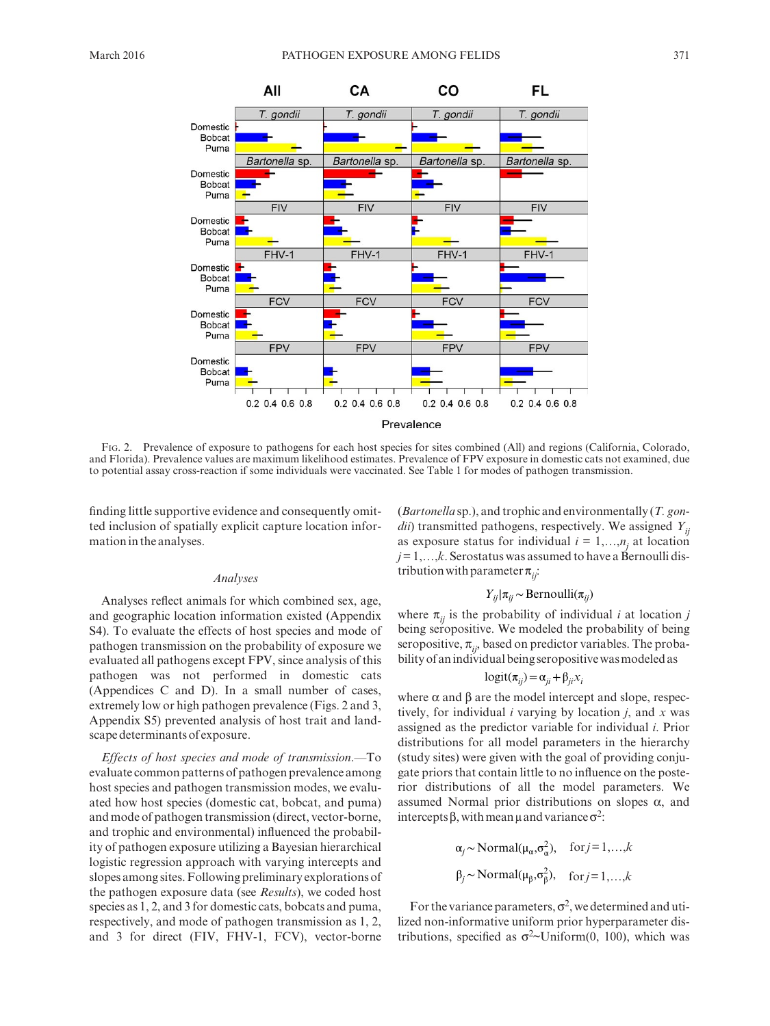

Fig. 2. Prevalence of exposure to pathogens for each host species for sites combined (All) and regions (California, Colorado, and Florida). Prevalence values are maximum likelihood estimates. Prevalence of FPV exposure in domestic cats not examined, due to potential assay cross-reaction if some individuals were vaccinated. See Table 1 for modes of pathogen transmission.

finding little supportive evidence and consequently omitted inclusion of spatially explicit capture location information in the analyses.

# *Analyses*

Analyses reflect animals for which combined sex, age, and geographic location information existed (Appendix S4). To evaluate the effects of host species and mode of pathogen transmission on the probability of exposure we evaluated all pathogens except FPV, since analysis of this pathogen was not performed in domestic cats (Appendices C and D). In a small number of cases, extremely low or high pathogen prevalence (Figs. 2 and 3, Appendix S5) prevented analysis of host trait and landscape determinants of exposure.

*Effects of host species and mode of transmission*.—To evaluate common patterns of pathogen prevalence among host species and pathogen transmission modes, we evaluated how host species (domestic cat, bobcat, and puma) and mode of pathogen transmission (direct, vector-borne, and trophic and environmental) influenced the probability of pathogen exposure utilizing a Bayesian hierarchical logistic regression approach with varying intercepts and slopes among sites. Following preliminary explorations of the pathogen exposure data (see *Results*), we coded host species as 1, 2, and 3 for domestic cats, bobcats and puma, respectively, and mode of pathogen transmission as 1, 2, and 3 for direct (FIV, FHV-1, FCV), vector-borne

(*Bartonella* sp.), and trophic and environmentally (*T. gondii*) transmitted pathogens, respectively. We assigned  $Y_{ii}$ as exposure status for individual  $i = 1,...,n_j$  at location  $j = 1, \ldots, k$ . Serostatus was assumed to have a Bernoulli distribution with parameter π*ij*:

## *Yij*|π*ij* ∼Bernoulli(π*ij*)

where  $\pi_{ii}$  is the probability of individual *i* at location *j* being seropositive. We modeled the probability of being seropositive,  $\pi_{ii}$ , based on predictor variables. The probability of an individual being seropositive was modeled as

$$
logit(\pi_{ij}) = \alpha_{ji} + \beta_{ji} x_i
$$

where  $\alpha$  and  $\beta$  are the model intercept and slope, respectively, for individual *i* varying by location *j*, and *x* was assigned as the predictor variable for individual *i*. Prior distributions for all model parameters in the hierarchy (study sites) were given with the goal of providing conjugate priors that contain little to no influence on the posterior distributions of all the model parameters. We assumed Normal prior distributions on slopes  $\alpha$ , and intercepts β, with mean μ and variance  $σ<sup>2</sup>$ :

$$
\alpha_j \sim \text{Normal}(\mu_\alpha, \sigma_\alpha^2), \quad \text{for } j = 1, \dots, k
$$
  
 $\beta_j \sim \text{Normal}(\mu_\beta, \sigma_\beta^2), \quad \text{for } j = 1, \dots, k$ 

For the variance parameters,  $\sigma^2$ , we determined and utilized non-informative uniform prior hyperparameter distributions, specified as  $\sigma^2$ ~Uniform(0, 100), which was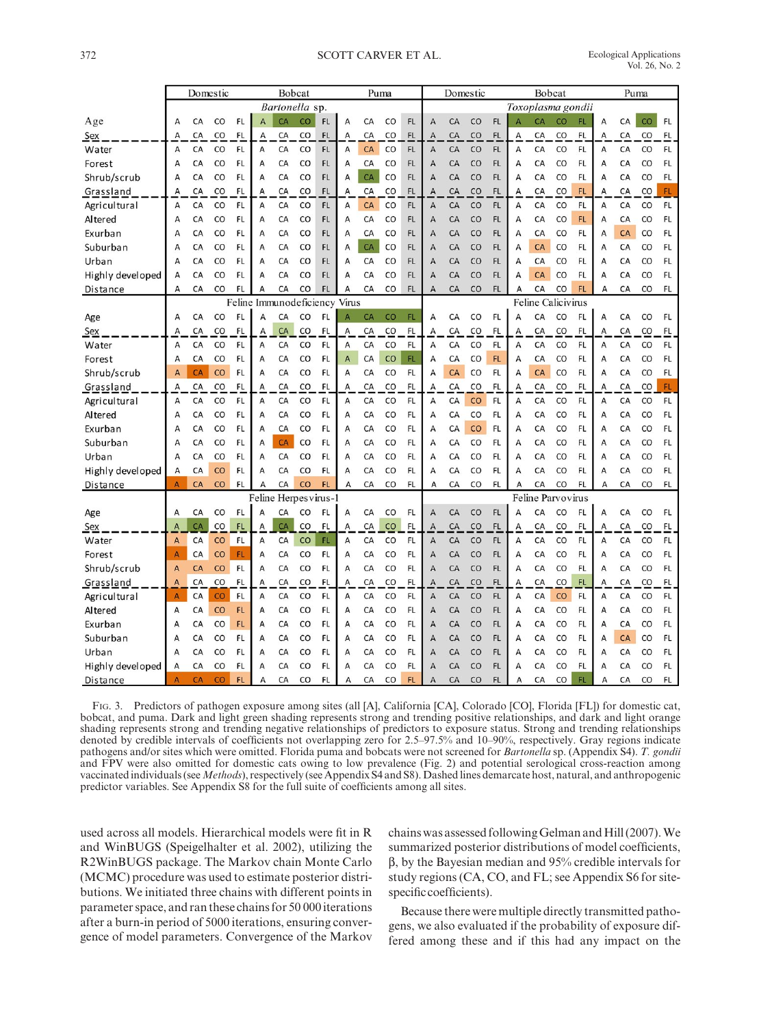|                  | Bobcat<br>Domestic               |    |    |           |                |    |    | Puma      |                    |    | Domestic |           |                |                   | Bobcat |                          |   |    | Puma |           |   |    |    |           |
|------------------|----------------------------------|----|----|-----------|----------------|----|----|-----------|--------------------|----|----------|-----------|----------------|-------------------|--------|--------------------------|---|----|------|-----------|---|----|----|-----------|
|                  | Bartonella sp.                   |    |    |           |                |    |    |           |                    |    |          |           |                | Toxoplasma gondii |        |                          |   |    |      |           |   |    |    |           |
| Age              | Α                                | CA | CO | FL        |                | CA | CO | <b>FL</b> | A                  | CA | CO       | <b>FL</b> | $\overline{A}$ | CA                | CO     | <b>FL</b>                | A | CA | CO   | FL        | A | CA | CO | FL        |
| Sex              | A                                | CA | CO | <b>FL</b> | A              | CA | CO | <b>FL</b> | A                  | CA | CO       | FL        | $\overline{A}$ | CA                | CO     | <b>FL</b>                | A | CA | CO   | FL        | A | CA | CO | FL.       |
| Water            | A                                | CA | CO | FL        | A              | CA | CO | <b>FL</b> | A                  | CA | CO       | <b>FL</b> | $\overline{A}$ | CA                | CO     | FL.                      | A | CA | CO   | FL        | A | CA | CO | FL        |
| Forest           | A                                | CA | CO | FL.       | A              | CA | CO | FL        | A                  | CA | CO       | FL        | $\overline{A}$ | CA                | CO     | FL                       | A | CA | CO   | FL        | A | CA | CO | FL        |
| Shrub/scrub      | А                                | CA | CO | FL        | Α              | CA | CO | <b>FL</b> | Α                  | CA | CO       | <b>FL</b> | A              | CA                | CO     | <b>FL</b>                | А | CA | CO   | FL        | Α | CA | CO | FL        |
| Grassland        | A                                | CA | CO | FL.       | A              | CA | CO | <b>FL</b> | A                  | CA | CO       | <b>FL</b> | $\overline{A}$ | CA                | CO     | FL                       | A | CA | CO   | FL        | A | CA | CO | FL.       |
| Agricultural     | A                                | CA | CO | FL        | A              | CA | CO | <b>FL</b> | А                  | CA | CO       | <b>FL</b> | $\overline{A}$ | CA                | CO     | <b>FL</b>                | A | CA | CO   | FL        | А | CA | CO | FL        |
| Altered          | A                                | CA | CO | FL.       | A              | CA | CO | <b>FL</b> | A                  | CA | CO       | <b>FL</b> | $\overline{A}$ | CA                | CO     | FL                       | A | CA | CO   | <b>FL</b> | A | CA | CO | <b>FL</b> |
| Exurban          | Α                                | CA | CO | FL        | A              | CA | CO | FL        | Α                  | CA | CO       | <b>FL</b> | A              | CA                | CO     | FL                       | Α | CA | CO   | FL        | Α | CA | CO | FL        |
| Suburban         | А                                | CA | CO | FL        | A              | CA | CO | <b>FL</b> | A                  | CA | CO       | <b>FL</b> | $\overline{A}$ | CA                | CO     | <b>FL</b>                | A | CA | CO   | FL        | A | CA | CO | FL        |
| Urban            | Α                                | CA | CO | FL        | A              | CA | CO | FL        | А                  | CA | CO       | FL        | A              | CA                | CO     | <b>FL</b>                | A | CA | CO   | FL        | A | CA | CO | FL        |
| Highly developed | А                                | CA | co | FL        | A              | CA | CO | <b>FL</b> | Α                  | CA | CO       | <b>FL</b> | A              | CA                | CO     | <b>FL</b>                | A | CA | CO   | <b>FL</b> | A | CA | CO | FL.       |
| Distance         | $\overline{A}$                   | CA | CO | FL        | $\overline{A}$ | CA | CO | FL        | A                  | CA | CO       | FL        | $\overline{A}$ | CA                | CO     | FL                       | A | CA | CO   | FL        | A | CA | CO | FL        |
|                  | Feline Immunodeficiency<br>Virus |    |    |           |                |    |    |           | Feline Calicivirus |    |          |           |                |                   |        |                          |   |    |      |           |   |    |    |           |
| Age              | A                                | CA | CO | FL        | $\overline{A}$ | CA | CO | FL        | A                  | CA | CO       | FL.       | A              | CA                | CO     | <b>FL</b>                | A | CA | CO   | FL        | A | CA | CO | FL.       |
| Sex              | Α                                | CA | CO | <b>FL</b> | A              | CA | CO | FL        | Α                  | CA | CO       | <b>FL</b> | А              | CA                | CO     | FL                       | Α | CA | CO   | FL        | A | CA | CO | FL        |
| Water            | A                                | CA | CO | FL        | A              | CA | CO | <b>FL</b> | Α                  | CA | CO       | FL        | A              | CA                | CO     | FL                       | Α | CA | CO   | FL        | А | CA | CO | FL        |
| Forest           | Α                                | CA | CO | FL        | A              | CA | CO | FL        | $\overline{A}$     | CA | CO       | FL        | Α              | CA                | CO     | FL.                      | A | CA | CO   | FL        | A | CA | CO | FL        |
| Shrub/scrub      | A                                | CA | CO | FL        | А              | CA | CO | <b>FL</b> | Α                  | CA | CO       | <b>FL</b> | А              | CA                | CO     | <b>FL</b>                | A | CA | CO   | FL        | A | CA | CO | FL.       |
| Grassland        | A                                | CA | CO | FL.       | Α              | CA | CO | <b>FL</b> | А                  | CA | CO       | <b>FL</b> | A              | CA                | CO     | <b>FL</b>                | Α | CA | CO   | FL        | A | CA | CO | FL.       |
| Agricultural     | А                                | CA | CO | FL        | A              | CA | CO | <b>FL</b> | А                  | CA | CO       | <b>FL</b> | Α              | CA                | CO     | <b>FL</b>                | A | CA | CO   | <b>FL</b> | A | CA | CO | FL        |
| Altered          | А                                | CA | CO | FL.       | A              | CA | CO | <b>FL</b> | А                  | CA | CO       | <b>FL</b> | А              | CA                | CO     | FL                       | A | CA | CO   | FL        | A | CA | CO | FL        |
| Exurban          | A                                | CA | CO | FL        | А              | CA | CO | <b>FL</b> | А                  | CA | CO       | FL        | А              | CA                | CO     | FL                       | A | CA | CO   | FL        | А | CA | CO | FL        |
| Suburban         | Α                                | CA | CO | FL        | A              | CA | CO | <b>FL</b> | А                  | CA | CO       | <b>FL</b> | Α              | CA                | CO     | FL                       | A | CA | CO   | FL        | Α | CA | CO | FL        |
| Urban            | A                                | CA | CO | <b>FL</b> | A              | CA | CO | <b>FL</b> | A                  | CA | CO       | FL        | A              | CA                | CO     | FL                       | A | CA | CO   | FL        | A | CA | CO | FL        |
| Highly developed | Α                                | CA | CO | <b>FL</b> | A              | CA | CO | FL        | A                  | CA | CO       | FL        | A              | CA                | CO     | FL                       | A | CA | CO   | FL        | A | CA | CO | FL.       |
| Distance         | A                                | CA | CO | FL.       | A              | CA | CO | FL.       | A                  | CA | CO       | <b>FL</b> | A              | CA                | CO     | FL.                      | A | CA | CO   | FL        | A | CA | CO | FL.       |
|                  | Feline Herpesvirus-1             |    |    |           |                |    |    |           |                    |    |          |           |                |                   |        | <b>Feline Parvovirus</b> |   |    |      |           |   |    |    |           |
| Age              | А                                | CA | CO | FL        | A              | CA | CO | <b>FL</b> | А                  | CA | CO       | FL        | A              | CA                | CO     | <b>FL</b>                | A | CA | CO   | FL        | А | CA | CO | <b>FL</b> |
| Sex              | $\overline{A}$                   | CA | CO | FL.       | A              | CA | CO | FL        | A                  | CA | CO       | FL        | $\overline{A}$ | CA                | CO     | <b>FL</b>                | A | CA | CO   | FL        | A | CA | CO | FL        |
| Water            | A                                | CA | CO | FL        | A              | CA | CO | <b>FL</b> | А                  | CA | CO       | <b>FL</b> | $\overline{A}$ | CA                | CO     | FL                       | A | CA | CO   | FL        | A | CA | CO | FL        |
| Forest           | A                                | CA | CO | FL        | A              | CA | CO | <b>FL</b> | A                  | CA | CO       | <b>FL</b> | $\overline{A}$ | CA                | CO     | <b>FL</b>                | A | CA | CO   | FL        | A | CA | CO | FL        |
| Shrub/scrub      | $\overline{A}$                   | CA | CO | FL        | A              | CA | CO | <b>FL</b> | A                  | CA | CO       | FL        | A              | CA                | CO     | <b>FL</b>                | А | CA | CO   | FL        | A | CA | CO | FL        |
| Grassland        | $\overline{A}$                   | CA | CO | FL.       | A              | CA | CO | FL        | А                  | CA | CO       | FL        | $\overline{A}$ | CA                | CO     | FL                       | A | CA | CO   | FL.       | A | CA | CO | FL.       |
| Agricultural     | $\mathsf{A}$                     | CA | CO | FL        | A              | CA | CO | FL        | Α                  | CA | CO       | FL        | $\overline{A}$ | CA                | CO     | FL                       | A | CA | CO   | <b>FL</b> | A | CA | CO | <b>FL</b> |
| Altered          | A                                | CA | CO | <b>FL</b> | Α              | CA | CO | FL        | A                  | CA | CO       | FL        | A              | CA                | CO     | FL                       | A | CA | CO   | FL        | A | CA | CO | FL        |
| Exurban          | A                                | CA | CO | FL        | A              | CA | CO | <b>FL</b> | A                  | CA | CO       | <b>FL</b> | A              | CA                | CO     | <b>FL</b>                | A | CA | CO   | FL        | A | CA | CO | <b>FL</b> |
| Suburban         | A                                | CA | co | FL        | Α              | CA | CO | <b>FL</b> | А                  | CA | co       | FL        | A              | CA                | CO     | <b>FL</b>                | A | CA | CO   | FL        | A | CA | CO | FL        |
| Urban            | A                                | CA | CO | FL.       | A              | CA | CO | <b>FL</b> | А                  | CA | CO       | FL        | A              | CA                | CO     | <b>FL</b>                | А | CA | CO   | FL        | A | CA | CO | <b>FL</b> |
| Highly developed | A                                | CA | CO | FL        | A              | CA | CO | <b>FL</b> | A                  | CA | CO       | FL        | $\overline{A}$ | CA                | CO     | <b>FL</b>                | A | CA | CO   | FL        | A | CA | CO | FL        |
| Distance         | $\overline{A}$                   | CA | CO | FL.       | A              | CA | CO | <b>FL</b> | A                  | CA | CO       | <b>FL</b> | $\overline{A}$ | CA                | CO     | <b>FL</b>                | A | CA | CO   | FL        | A | CA | CO | FL        |

Fig. 3. Predictors of pathogen exposure among sites (all [A], California [CA], Colorado [CO], Florida [FL]) for domestic cat, bobcat, and puma. Dark and light green shading represents strong and trending positive relationships, and dark and light orange shading represents strong and trending negative relationships of predictors to exposure status. Strong and trending relationships denoted by credible intervals of coefficients not overlapping zero for 2.5–97.5% and 10–90%, respectively. Gray regions indicate pathogens and/or sites which were omitted. Florida puma and bobcats were not screened for *Bartonella* sp. (Appendix S4). *T. gondii* and FPV were also omitted for domestic cats owing to low prevalence (Fig. 2) and potential serological cross-reaction among vaccinated individuals (see *Methods*), respectively (see Appendix S4 and S8). Dashed lines demarcate host, natural, and anthropogenic predictor variables. See Appendix S8 for the full suite of coefficients among all sites.

used across all models. Hierarchical models were fit in R and WinBUGS (Speigelhalter et al. 2002), utilizing the R2WinBUGS package. The Markov chain Monte Carlo (MCMC) procedure was used to estimate posterior distributions. We initiated three chains with different points in parameter space, and ran these chains for 50 000 iterations after a burn-in period of 5000 iterations, ensuring convergence of model parameters. Convergence of the Markov chains was assessed following Gelman and Hill (2007). We summarized posterior distributions of model coefficients, β, by the Bayesian median and 95% credible intervals for study regions (CA, CO, and FL; see Appendix S6 for sitespecific coefficients).

Because there were multiple directly transmitted pathogens, we also evaluated if the probability of exposure differed among these and if this had any impact on the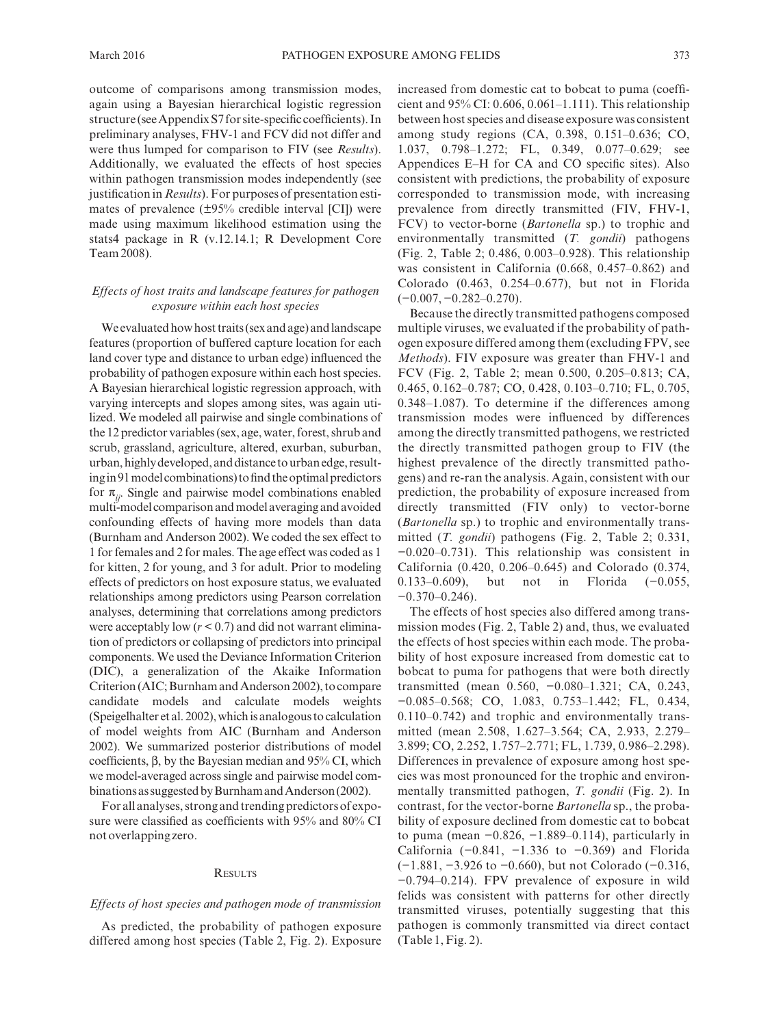outcome of comparisons among transmission modes, again using a Bayesian hierarchical logistic regression structure (see Appendix S7 for site-specific coefficients). In preliminary analyses, FHV-1 and FCV did not differ and were thus lumped for comparison to FIV (see *Results*). Additionally, we evaluated the effects of host species within pathogen transmission modes independently (see justification in *Results*). For purposes of presentation estimates of prevalence (±95% credible interval [CI]) were made using maximum likelihood estimation using the stats4 package in R (v.12.14.1; R Development Core Team 2008).

# *Effects of host traits and landscape features for pathogen exposure within each host species*

We evaluated how host traits (sex and age) and landscape features (proportion of buffered capture location for each land cover type and distance to urban edge) influenced the probability of pathogen exposure within each host species. A Bayesian hierarchical logistic regression approach, with varying intercepts and slopes among sites, was again utilized. We modeled all pairwise and single combinations of the 12 predictor variables (sex, age, water, forest, shrub and scrub, grassland, agriculture, altered, exurban, suburban, urban, highly developed, and distance to urban edge, resulting in 91 model combinations) to find the optimal predictors for  $\pi_{ii}$ . Single and pairwise model combinations enabled multi-model comparison and model averaging and avoided confounding effects of having more models than data (Burnham and Anderson 2002). We coded the sex effect to 1 for females and 2 for males. The age effect was coded as 1 for kitten, 2 for young, and 3 for adult. Prior to modeling effects of predictors on host exposure status, we evaluated relationships among predictors using Pearson correlation analyses, determining that correlations among predictors were acceptably low  $(r < 0.7)$  and did not warrant elimination of predictors or collapsing of predictors into principal components. We used the Deviance Information Criterion (DIC), a generalization of the Akaike Information Criterion (AIC; Burnham and Anderson 2002), to compare candidate models and calculate models weights (Speigelhalter etal. 2002), which is analogous to calculation of model weights from AIC (Burnham and Anderson 2002). We summarized posterior distributions of model coefficients, β, by the Bayesian median and 95% CI, which we model-averaged across single and pairwise model combinations as suggested by Burnham and Anderson (2002).

For all analyses, strong and trending predictors of exposure were classified as coefficients with 95% and 80% CI not overlapping zero.

# Results

## *Effects of host species and pathogen mode of transmission*

As predicted, the probability of pathogen exposure differed among host species (Table 2, Fig. 2). Exposure increased from domestic cat to bobcat to puma (coefficient and 95% CI: 0.606, 0.061–1.111). This relationship between host species and disease exposure was consistent among study regions (CA, 0.398, 0.151–0.636; CO, 1.037, 0.798–1.272; FL, 0.349, 0.077–0.629; see Appendices E–H for CA and CO specific sites). Also consistent with predictions, the probability of exposure corresponded to transmission mode, with increasing prevalence from directly transmitted (FIV, FHV-1, FCV) to vector-borne (*Bartonella* sp.) to trophic and environmentally transmitted (*T. gondii*) pathogens (Fig. 2, Table 2; 0.486, 0.003–0.928). This relationship was consistent in California (0.668, 0.457–0.862) and Colorado (0.463, 0.254–0.677), but not in Florida  $(-0.007, -0.282 - 0.270).$ 

Because the directly transmitted pathogens composed multiple viruses, we evaluated if the probability of pathogen exposure differed among them (excluding FPV, see *Methods*). FIV exposure was greater than FHV-1 and FCV (Fig. 2, Table 2; mean 0.500, 0.205–0.813; CA, 0.465, 0.162–0.787; CO, 0.428, 0.103–0.710; FL, 0.705, 0.348–1.087). To determine if the differences among transmission modes were influenced by differences among the directly transmitted pathogens, we restricted the directly transmitted pathogen group to FIV (the highest prevalence of the directly transmitted pathogens) and re-ran the analysis. Again, consistent with our prediction, the probability of exposure increased from directly transmitted (FIV only) to vector-borne (*Bartonella* sp.) to trophic and environmentally transmitted (*T. gondii*) pathogens (Fig. 2, Table 2; 0.331, −0.020–0.731). This relationship was consistent in California (0.420, 0.206–0.645) and Colorado (0.374, 0.133–0.609), but not in Florida (−0.055,  $-0.370-0.246$ .

The effects of host species also differed among transmission modes (Fig. 2, Table 2) and, thus, we evaluated the effects of host species within each mode. The probability of host exposure increased from domestic cat to bobcat to puma for pathogens that were both directly transmitted (mean 0.560, −0.080–1.321; CA, 0.243, −0.085–0.568; CO, 1.083, 0.753–1.442; FL, 0.434, 0.110–0.742) and trophic and environmentally transmitted (mean 2.508, 1.627–3.564; CA, 2.933, 2.279– 3.899; CO, 2.252, 1.757–2.771; FL, 1.739, 0.986–2.298). Differences in prevalence of exposure among host species was most pronounced for the trophic and environmentally transmitted pathogen, *T. gondii* (Fig. 2). In contrast, for the vector-borne *Bartonella* sp., the probability of exposure declined from domestic cat to bobcat to puma (mean −0.826, −1.889–0.114), particularly in California (−0.841, −1.336 to −0.369) and Florida (−1.881, −3.926 to −0.660), but not Colorado (−0.316, −0.794–0.214). FPV prevalence of exposure in wild felids was consistent with patterns for other directly transmitted viruses, potentially suggesting that this pathogen is commonly transmitted via direct contact (Table 1, Fig. 2).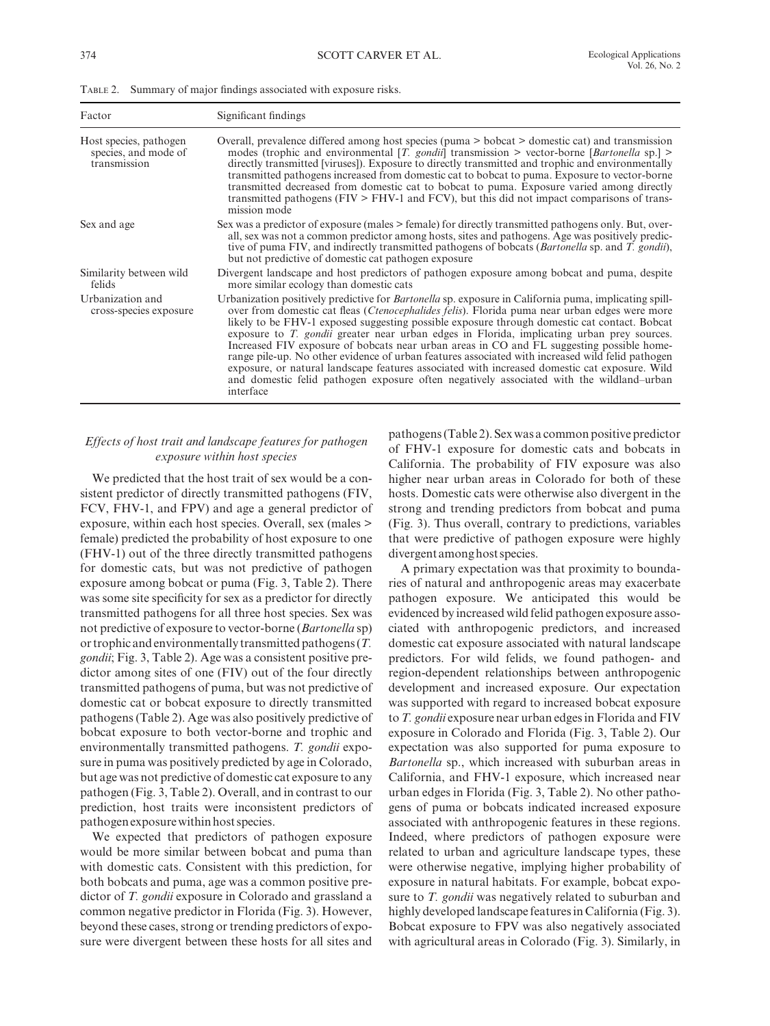Table 2. Summary of major findings associated with exposure risks.

| Factor                                                         | Significant findings                                                                                                                                                                                                                                                                                                                                                                                                                                                                                                                                                                                                                                                                                                                                                                                                   |
|----------------------------------------------------------------|------------------------------------------------------------------------------------------------------------------------------------------------------------------------------------------------------------------------------------------------------------------------------------------------------------------------------------------------------------------------------------------------------------------------------------------------------------------------------------------------------------------------------------------------------------------------------------------------------------------------------------------------------------------------------------------------------------------------------------------------------------------------------------------------------------------------|
| Host species, pathogen<br>species, and mode of<br>transmission | Overall, prevalence differed among host species (puma > bobcat > domestic cat) and transmission<br>modes (trophic and environmental $[T. \text{ gondil} ]$ transmission > vector-borne $\text{[Bartonella sp.]}$ ><br>directly transmitted [viruses]). Exposure to directly transmitted and trophic and environmentally<br>transmitted pathogens increased from domestic cat to bobcat to puma. Exposure to vector-borne<br>transmitted decreased from domestic cat to bobcat to puma. Exposure varied among directly<br>transmitted pathogens ( $FIV > FHV-1$ and $FCV$ ), but this did not impact comparisons of trans-<br>mission mode                                                                                                                                                                              |
| Sex and age                                                    | Sex was a predictor of exposure (males > female) for directly transmitted pathogens only. But, over-<br>all, sex was not a common predictor among hosts, sites and pathogens. Age was positively predic-<br>tive of puma FIV, and indirectly transmitted pathogens of bobcats (Bartonella sp. and T. gondii),<br>but not predictive of domestic cat pathogen exposure                                                                                                                                                                                                                                                                                                                                                                                                                                                  |
| Similarity between wild<br>felids                              | Divergent landscape and host predictors of pathogen exposure among bobcat and puma, despite<br>more similar ecology than domestic cats                                                                                                                                                                                                                                                                                                                                                                                                                                                                                                                                                                                                                                                                                 |
| Urbanization and<br>cross-species exposure                     | Urbanization positively predictive for <i>Bartonella</i> sp. exposure in California puma, implicating spill-<br>over from domestic cat fleas (Ctenocephalides felis). Florida puma near urban edges were more<br>likely to be FHV-1 exposed suggesting possible exposure through domestic cat contact. Bobcat<br>exposure to T. gondii greater near urban edges in Florida, implicating urban prey sources.<br>Increased FIV exposure of bobcats near urban areas in CO and FL suggesting possible home-<br>range pile-up. No other evidence of urban features associated with increased wild felid pathogen<br>exposure, or natural landscape features associated with increased domestic cat exposure. Wild<br>and domestic felid pathogen exposure often negatively associated with the wildland-urban<br>interface |

# *Effects of host trait and landscape features for pathogen exposure within host species*

We predicted that the host trait of sex would be a consistent predictor of directly transmitted pathogens (FIV, FCV, FHV-1, and FPV) and age a general predictor of exposure, within each host species. Overall, sex (males > female) predicted the probability of host exposure to one (FHV-1) out of the three directly transmitted pathogens for domestic cats, but was not predictive of pathogen exposure among bobcat or puma (Fig. 3, Table 2). There was some site specificity for sex as a predictor for directly transmitted pathogens for all three host species. Sex was not predictive of exposure to vector-borne (*Bartonella* sp) or trophic and environmentally transmitted pathogens (*T. gondii*; Fig. 3, Table 2). Age was a consistent positive predictor among sites of one (FIV) out of the four directly transmitted pathogens of puma, but was not predictive of domestic cat or bobcat exposure to directly transmitted pathogens (Table 2). Age was also positively predictive of bobcat exposure to both vector-borne and trophic and environmentally transmitted pathogens. *T. gondii* exposure in puma was positively predicted by age in Colorado, but age was not predictive of domestic cat exposure to any pathogen (Fig. 3, Table 2). Overall, and in contrast to our prediction, host traits were inconsistent predictors of pathogen exposure within host species.

We expected that predictors of pathogen exposure would be more similar between bobcat and puma than with domestic cats. Consistent with this prediction, for both bobcats and puma, age was a common positive predictor of *T. gondii* exposure in Colorado and grassland a common negative predictor in Florida (Fig. 3). However, beyond these cases, strong or trending predictors of exposure were divergent between these hosts for all sites and

pathogens (Table 2). Sex was a common positive predictor of FHV-1 exposure for domestic cats and bobcats in California. The probability of FIV exposure was also higher near urban areas in Colorado for both of these hosts. Domestic cats were otherwise also divergent in the strong and trending predictors from bobcat and puma (Fig. 3). Thus overall, contrary to predictions, variables that were predictive of pathogen exposure were highly divergent among host species.

A primary expectation was that proximity to boundaries of natural and anthropogenic areas may exacerbate pathogen exposure. We anticipated this would be evidenced by increased wild felid pathogen exposure associated with anthropogenic predictors, and increased domestic cat exposure associated with natural landscape predictors. For wild felids, we found pathogen- and region-dependent relationships between anthropogenic development and increased exposure. Our expectation was supported with regard to increased bobcat exposure to *T. gondii* exposure near urban edges in Florida and FIV exposure in Colorado and Florida (Fig. 3, Table 2). Our expectation was also supported for puma exposure to *Bartonella* sp., which increased with suburban areas in California, and FHV-1 exposure, which increased near urban edges in Florida (Fig. 3, Table 2). No other pathogens of puma or bobcats indicated increased exposure associated with anthropogenic features in these regions. Indeed, where predictors of pathogen exposure were related to urban and agriculture landscape types, these were otherwise negative, implying higher probability of exposure in natural habitats. For example, bobcat exposure to *T. gondii* was negatively related to suburban and highly developed landscape features in California (Fig. 3). Bobcat exposure to FPV was also negatively associated with agricultural areas in Colorado (Fig. 3). Similarly, in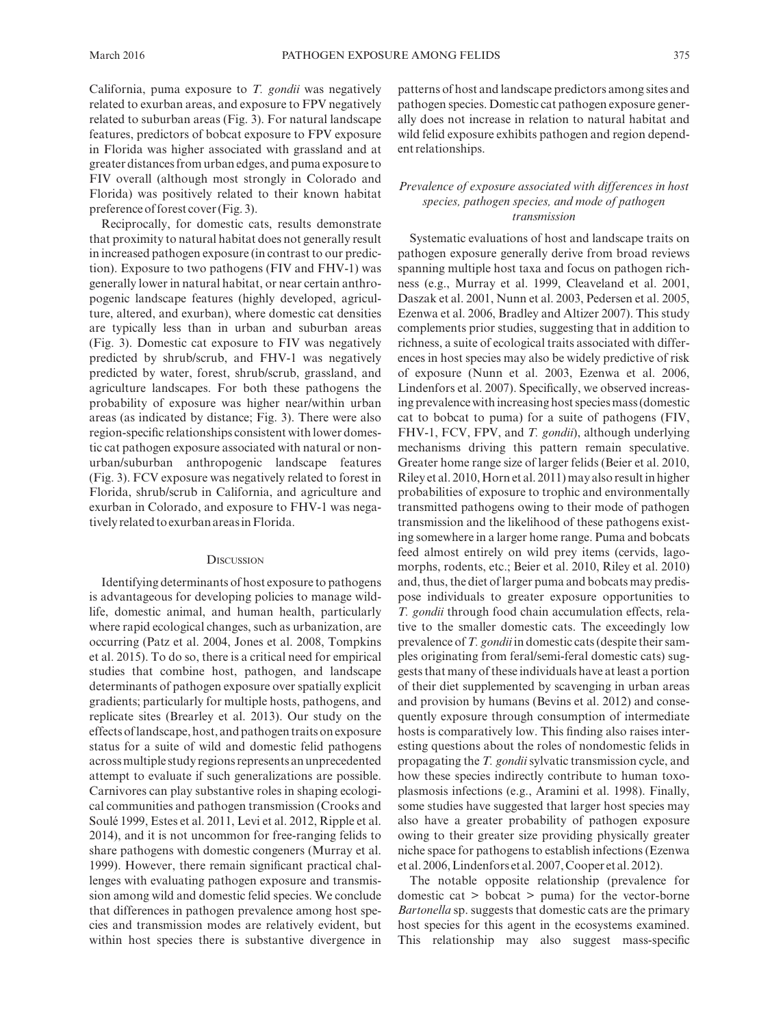California, puma exposure to *T. gondii* was negatively related to exurban areas, and exposure to FPV negatively related to suburban areas (Fig. 3). For natural landscape features, predictors of bobcat exposure to FPV exposure in Florida was higher associated with grassland and at greater distances from urban edges, and puma exposure to FIV overall (although most strongly in Colorado and Florida) was positively related to their known habitat preference of forest cover (Fig. 3).

Reciprocally, for domestic cats, results demonstrate that proximity to natural habitat does not generally result in increased pathogen exposure (in contrast to our prediction). Exposure to two pathogens (FIV and FHV-1) was generally lower in natural habitat, or near certain anthropogenic landscape features (highly developed, agriculture, altered, and exurban), where domestic cat densities are typically less than in urban and suburban areas (Fig. 3). Domestic cat exposure to FIV was negatively predicted by shrub/scrub, and FHV-1 was negatively predicted by water, forest, shrub/scrub, grassland, and agriculture landscapes. For both these pathogens the probability of exposure was higher near/within urban areas (as indicated by distance; Fig. 3). There were also region-specific relationships consistent with lower domestic cat pathogen exposure associated with natural or nonurban/suburban anthropogenic landscape features (Fig. 3). FCV exposure was negatively related to forest in Florida, shrub/scrub in California, and agriculture and exurban in Colorado, and exposure to FHV-1 was negatively related to exurban areas in Florida.

#### **DISCUSSION**

Identifying determinants of host exposure to pathogens is advantageous for developing policies to manage wildlife, domestic animal, and human health, particularly where rapid ecological changes, such as urbanization, are occurring (Patz et al. 2004, Jones et al. 2008, Tompkins et al. 2015). To do so, there is a critical need for empirical studies that combine host, pathogen, and landscape determinants of pathogen exposure over spatially explicit gradients; particularly for multiple hosts, pathogens, and replicate sites (Brearley et al. 2013). Our study on the effects of landscape, host, and pathogen traits on exposure status for a suite of wild and domestic felid pathogens across multiple study regions represents an unprecedented attempt to evaluate if such generalizations are possible. Carnivores can play substantive roles in shaping ecological communities and pathogen transmission (Crooks and Soulé 1999, Estes et al. 2011, Levi et al. 2012, Ripple et al. 2014), and it is not uncommon for free-ranging felids to share pathogens with domestic congeners (Murray et al. 1999). However, there remain significant practical challenges with evaluating pathogen exposure and transmission among wild and domestic felid species. We conclude that differences in pathogen prevalence among host species and transmission modes are relatively evident, but within host species there is substantive divergence in patterns of host and landscape predictors among sites and pathogen species. Domestic cat pathogen exposure generally does not increase in relation to natural habitat and wild felid exposure exhibits pathogen and region dependent relationships.

# *Prevalence of exposure associated with differences in host species, pathogen species, and mode of pathogen transmission*

Systematic evaluations of host and landscape traits on pathogen exposure generally derive from broad reviews spanning multiple host taxa and focus on pathogen richness (e.g., Murray et al. 1999, Cleaveland et al. 2001, Daszak et al. 2001, Nunn et al. 2003, Pedersen et al. 2005, Ezenwa et al. 2006, Bradley and Altizer 2007). This study complements prior studies, suggesting that in addition to richness, a suite of ecological traits associated with differences in host species may also be widely predictive of risk of exposure (Nunn et al. 2003, Ezenwa et al. 2006, Lindenfors et al. 2007). Specifically, we observed increasing prevalence with increasing host species mass (domestic cat to bobcat to puma) for a suite of pathogens (FIV, FHV-1, FCV, FPV, and *T. gondii*), although underlying mechanisms driving this pattern remain speculative. Greater home range size of larger felids (Beier et al. 2010, Riley et al. 2010, Horn et al. 2011) may also result in higher probabilities of exposure to trophic and environmentally transmitted pathogens owing to their mode of pathogen transmission and the likelihood of these pathogens existing somewhere in a larger home range. Puma and bobcats feed almost entirely on wild prey items (cervids, lagomorphs, rodents, etc.; Beier et al. 2010, Riley et al. 2010) and, thus, the diet of larger puma and bobcats may predispose individuals to greater exposure opportunities to *T. gondii* through food chain accumulation effects, relative to the smaller domestic cats. The exceedingly low prevalence of *T. gondii* in domestic cats (despite their samples originating from feral/semi-feral domestic cats) suggests that many of these individuals have at least a portion of their diet supplemented by scavenging in urban areas and provision by humans (Bevins et al. 2012) and consequently exposure through consumption of intermediate hosts is comparatively low. This finding also raises interesting questions about the roles of nondomestic felids in propagating the *T. gondii* sylvatic transmission cycle, and how these species indirectly contribute to human toxoplasmosis infections (e.g., Aramini et al. 1998). Finally, some studies have suggested that larger host species may also have a greater probability of pathogen exposure owing to their greater size providing physically greater niche space for pathogens to establish infections (Ezenwa etal. 2006, Lindenfors etal. 2007, Cooper et al. 2012).

The notable opposite relationship (prevalence for domestic cat > bobcat > puma) for the vector-borne *Bartonella* sp. suggests that domestic cats are the primary host species for this agent in the ecosystems examined. This relationship may also suggest mass-specific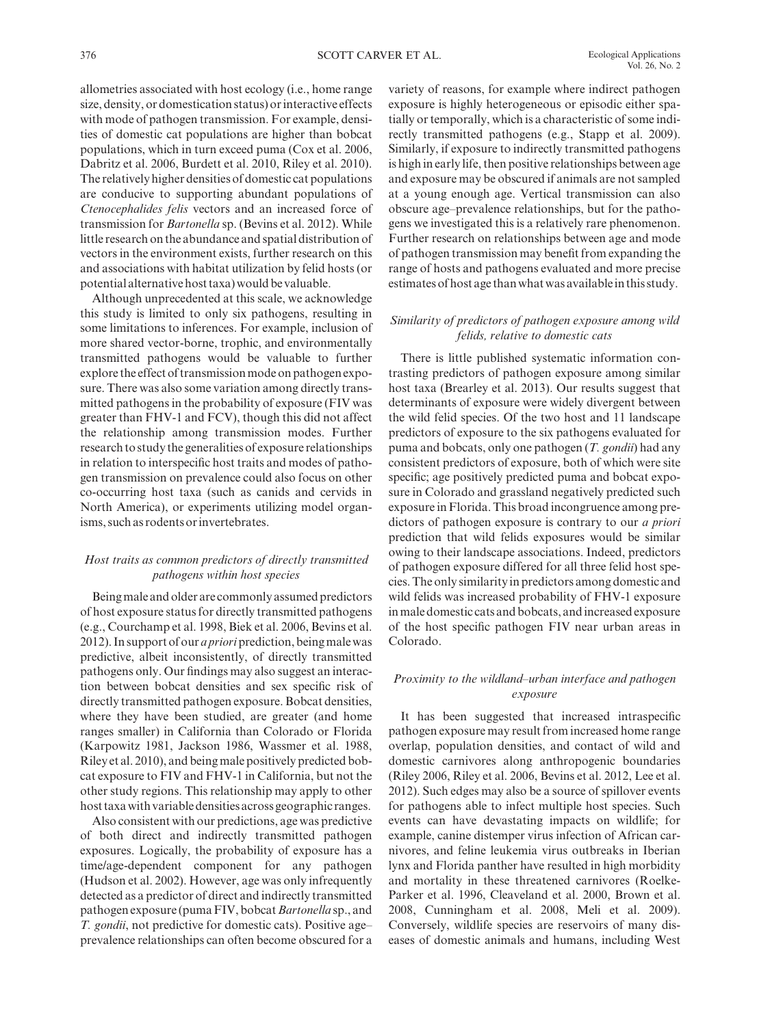allometries associated with host ecology (i.e., home range size, density, or domestication status) or interactive effects with mode of pathogen transmission. For example, densities of domestic cat populations are higher than bobcat populations, which in turn exceed puma (Cox et al. 2006, Dabritz et al. 2006, Burdett et al. 2010, Riley et al. 2010). The relatively higher densities of domestic cat populations are conducive to supporting abundant populations of *Ctenocephalides felis* vectors and an increased force of transmission for *Bartonella* sp. (Bevins et al. 2012). While little research on the abundance and spatial distribution of vectors in the environment exists, further research on this and associations with habitat utilization by felid hosts (or potential alternative host taxa) would be valuable.

Although unprecedented at this scale, we acknowledge this study is limited to only six pathogens, resulting in some limitations to inferences. For example, inclusion of more shared vector-borne, trophic, and environmentally transmitted pathogens would be valuable to further explore the effect of transmission mode on pathogen exposure. There was also some variation among directly transmitted pathogens in the probability of exposure (FIV was greater than FHV-1 and FCV), though this did not affect the relationship among transmission modes. Further research to study the generalities of exposure relationships in relation to interspecific host traits and modes of pathogen transmission on prevalence could also focus on other co-occurring host taxa (such as canids and cervids in North America), or experiments utilizing model organisms, such as rodents or invertebrates.

# *Host traits as common predictors of directly transmitted pathogens within host species*

Being male and older are commonly assumed predictors of host exposure status for directly transmitted pathogens (e.g., Courchamp et al. 1998, Biek et al. 2006, Bevins et al. 2012). In support of our *a priori* prediction, being male was predictive, albeit inconsistently, of directly transmitted pathogens only. Our findings may also suggest an interaction between bobcat densities and sex specific risk of directly transmitted pathogen exposure. Bobcat densities, where they have been studied, are greater (and home ranges smaller) in California than Colorado or Florida (Karpowitz 1981, Jackson 1986, Wassmer et al. 1988, Riley et al. 2010), and being male positively predicted bobcat exposure to FIV and FHV-1 in California, but not the other study regions. This relationship may apply to other host taxa with variable densities across geographic ranges.

Also consistent with our predictions, age was predictive of both direct and indirectly transmitted pathogen exposures. Logically, the probability of exposure has a time/age-dependent component for any pathogen (Hudson et al. 2002). However, age was only infrequently detected as a predictor of direct and indirectly transmitted pathogen exposure (puma FIV, bobcat *Bartonella* sp., and *T. gondii*, not predictive for domestic cats). Positive age– prevalence relationships can often become obscured for a variety of reasons, for example where indirect pathogen exposure is highly heterogeneous or episodic either spatially or temporally, which is a characteristic of some indirectly transmitted pathogens (e.g., Stapp et al. 2009). Similarly, if exposure to indirectly transmitted pathogens is high in early life, then positive relationships between age and exposure may be obscured if animals are not sampled at a young enough age. Vertical transmission can also obscure age–prevalence relationships, but for the pathogens we investigated this is a relatively rare phenomenon. Further research on relationships between age and mode of pathogen transmission may benefit from expanding the range of hosts and pathogens evaluated and more precise estimates of host age than what was available in this study.

# *Similarity of predictors of pathogen exposure among wild felids, relative to domestic cats*

There is little published systematic information contrasting predictors of pathogen exposure among similar host taxa (Brearley et al. 2013). Our results suggest that determinants of exposure were widely divergent between the wild felid species. Of the two host and 11 landscape predictors of exposure to the six pathogens evaluated for puma and bobcats, only one pathogen (*T. gondii*) had any consistent predictors of exposure, both of which were site specific; age positively predicted puma and bobcat exposure in Colorado and grassland negatively predicted such exposure in Florida. This broad incongruence among predictors of pathogen exposure is contrary to our *a priori* prediction that wild felids exposures would be similar owing to their landscape associations. Indeed, predictors of pathogen exposure differed for all three felid host species. The only similarity in predictors among domestic and wild felids was increased probability of FHV-1 exposure in male domestic cats and bobcats, and increased exposure of the host specific pathogen FIV near urban areas in Colorado.

## *Proximity to the wildland–urban interface and pathogen exposure*

It has been suggested that increased intraspecific pathogen exposure may result from increased home range overlap, population densities, and contact of wild and domestic carnivores along anthropogenic boundaries (Riley 2006, Riley et al. 2006, Bevins et al. 2012, Lee et al. 2012). Such edges may also be a source of spillover events for pathogens able to infect multiple host species. Such events can have devastating impacts on wildlife; for example, canine distemper virus infection of African carnivores, and feline leukemia virus outbreaks in Iberian lynx and Florida panther have resulted in high morbidity and mortality in these threatened carnivores (Roelke-Parker et al. 1996, Cleaveland et al. 2000, Brown et al. 2008, Cunningham et al. 2008, Meli et al. 2009). Conversely, wildlife species are reservoirs of many diseases of domestic animals and humans, including West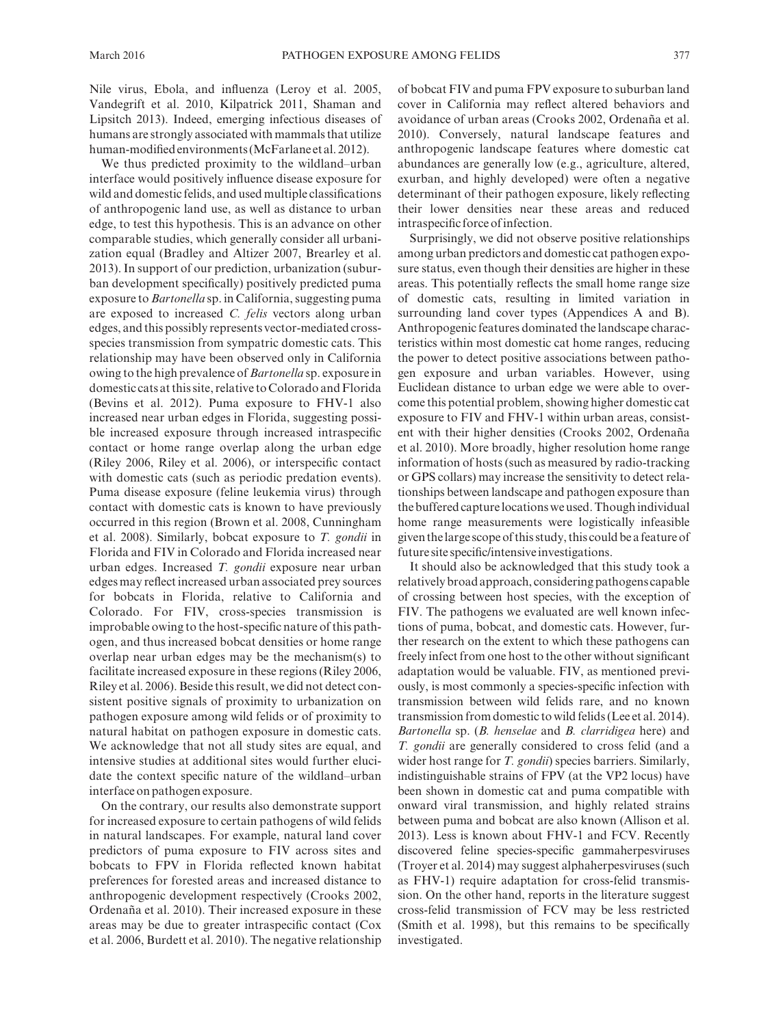Nile virus, Ebola, and influenza (Leroy et al. 2005, Vandegrift et al. 2010, Kilpatrick 2011, Shaman and Lipsitch 2013). Indeed, emerging infectious diseases of humans are strongly associated with mammals that utilize human-modified environments (McFarlane etal. 2012).

We thus predicted proximity to the wildland–urban interface would positively influence disease exposure for wild and domestic felids, and used multiple classifications of anthropogenic land use, as well as distance to urban edge, to test this hypothesis. This is an advance on other comparable studies, which generally consider all urbanization equal (Bradley and Altizer 2007, Brearley et al. 2013). In support of our prediction, urbanization (suburban development specifically) positively predicted puma exposure to *Bartonella* sp. in California, suggesting puma are exposed to increased *C. felis* vectors along urban edges, and this possibly represents vector-mediated crossspecies transmission from sympatric domestic cats. This relationship may have been observed only in California owing to the high prevalence of *Bartonella* sp. exposure in domestic cats at this site, relative to Colorado and Florida (Bevins et al. 2012). Puma exposure to FHV-1 also increased near urban edges in Florida, suggesting possible increased exposure through increased intraspecific contact or home range overlap along the urban edge (Riley 2006, Riley et al. 2006), or interspecific contact with domestic cats (such as periodic predation events). Puma disease exposure (feline leukemia virus) through contact with domestic cats is known to have previously occurred in this region (Brown et al. 2008, Cunningham et al. 2008). Similarly, bobcat exposure to *T. gondii* in Florida and FIV in Colorado and Florida increased near urban edges. Increased *T. gondii* exposure near urban edges may reflect increased urban associated prey sources for bobcats in Florida, relative to California and Colorado. For FIV, cross-species transmission is improbable owing to the host-specific nature of this pathogen, and thus increased bobcat densities or home range overlap near urban edges may be the mechanism(s) to facilitate increased exposure in these regions (Riley 2006, Riley et al. 2006). Beside this result, we did not detect consistent positive signals of proximity to urbanization on pathogen exposure among wild felids or of proximity to natural habitat on pathogen exposure in domestic cats. We acknowledge that not all study sites are equal, and intensive studies at additional sites would further elucidate the context specific nature of the wildland–urban interface on pathogen exposure.

On the contrary, our results also demonstrate support for increased exposure to certain pathogens of wild felids in natural landscapes. For example, natural land cover predictors of puma exposure to FIV across sites and bobcats to FPV in Florida reflected known habitat preferences for forested areas and increased distance to anthropogenic development respectively (Crooks 2002, Ordenaña et al. 2010). Their increased exposure in these areas may be due to greater intraspecific contact (Cox et al. 2006, Burdett et al. 2010). The negative relationship of bobcat FIV and puma FPV exposure to suburban land cover in California may reflect altered behaviors and avoidance of urban areas (Crooks 2002, Ordenaña et al. 2010). Conversely, natural landscape features and anthropogenic landscape features where domestic cat abundances are generally low (e.g., agriculture, altered, exurban, and highly developed) were often a negative determinant of their pathogen exposure, likely reflecting their lower densities near these areas and reduced intraspecific force of infection.

Surprisingly, we did not observe positive relationships among urban predictors and domestic cat pathogen exposure status, even though their densities are higher in these areas. This potentially reflects the small home range size of domestic cats, resulting in limited variation in surrounding land cover types (Appendices A and B). Anthropogenic features dominated the landscape characteristics within most domestic cat home ranges, reducing the power to detect positive associations between pathogen exposure and urban variables. However, using Euclidean distance to urban edge we were able to overcome this potential problem, showing higher domestic cat exposure to FIV and FHV-1 within urban areas, consistent with their higher densities (Crooks 2002, Ordenaña et al. 2010). More broadly, higher resolution home range information of hosts (such as measured by radio-tracking or GPS collars) may increase the sensitivity to detect relationships between landscape and pathogen exposure than the buffered capture locations we used. Though individual home range measurements were logistically infeasible given the large scope of this study, this could be a feature of future site specific/intensive investigations.

It should also be acknowledged that this study took a relatively broad approach, considering pathogens capable of crossing between host species, with the exception of FIV. The pathogens we evaluated are well known infections of puma, bobcat, and domestic cats. However, further research on the extent to which these pathogens can freely infect from one host to the other without significant adaptation would be valuable. FIV, as mentioned previously, is most commonly a species-specific infection with transmission between wild felids rare, and no known transmission from domestic to wild felids (Lee et al. 2014). *Bartonella* sp. (*B. henselae* and *B. clarridigea* here) and *T. gondii* are generally considered to cross felid (and a wider host range for *T. gondii*) species barriers. Similarly, indistinguishable strains of FPV (at the VP2 locus) have been shown in domestic cat and puma compatible with onward viral transmission, and highly related strains between puma and bobcat are also known (Allison et al. 2013). Less is known about FHV-1 and FCV. Recently discovered feline species-specific gammaherpesviruses (Troyer et al. 2014) may suggest alphaherpesviruses (such as FHV-1) require adaptation for cross-felid transmission. On the other hand, reports in the literature suggest cross-felid transmission of FCV may be less restricted (Smith et al. 1998), but this remains to be specifically investigated.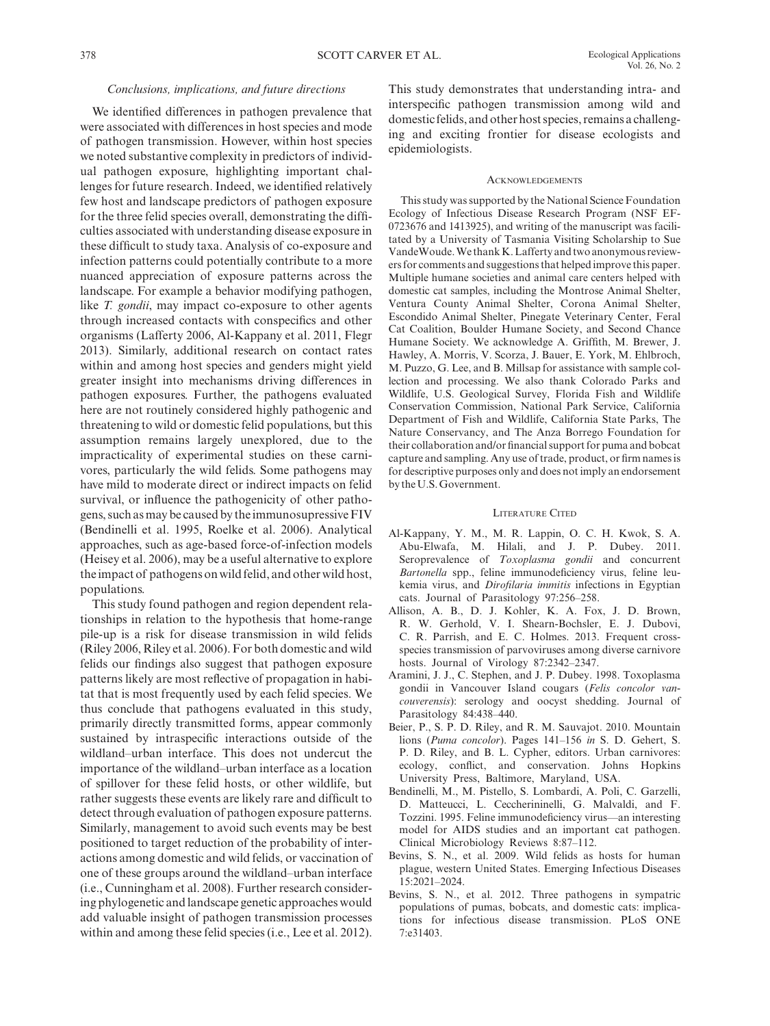## *Conclusions, implications, and future directions*

We identified differences in pathogen prevalence that were associated with differences in host species and mode of pathogen transmission. However, within host species we noted substantive complexity in predictors of individual pathogen exposure, highlighting important challenges for future research. Indeed, we identified relatively few host and landscape predictors of pathogen exposure for the three felid species overall, demonstrating the difficulties associated with understanding disease exposure in these difficult to study taxa. Analysis of co-exposure and infection patterns could potentially contribute to a more nuanced appreciation of exposure patterns across the landscape. For example a behavior modifying pathogen, like *T. gondii*, may impact co-exposure to other agents through increased contacts with conspecifics and other organisms (Lafferty 2006, Al-Kappany et al. 2011, Flegr 2013). Similarly, additional research on contact rates within and among host species and genders might yield greater insight into mechanisms driving differences in pathogen exposures. Further, the pathogens evaluated here are not routinely considered highly pathogenic and threatening to wild or domestic felid populations, but this assumption remains largely unexplored, due to the impracticality of experimental studies on these carnivores, particularly the wild felids. Some pathogens may have mild to moderate direct or indirect impacts on felid survival, or influence the pathogenicity of other pathogens, such as may be caused by the immunosupressive FIV (Bendinelli et al. 1995, Roelke et al. 2006). Analytical approaches, such as age-based force-of-infection models (Heisey et al. 2006), may be a useful alternative to explore the impact of pathogens on wild felid, and other wild host, populations.

This study found pathogen and region dependent relationships in relation to the hypothesis that home-range pile-up is a risk for disease transmission in wild felids (Riley 2006, Riley et al. 2006). For both domestic and wild felids our findings also suggest that pathogen exposure patterns likely are most reflective of propagation in habitat that is most frequently used by each felid species. We thus conclude that pathogens evaluated in this study, primarily directly transmitted forms, appear commonly sustained by intraspecific interactions outside of the wildland–urban interface. This does not undercut the importance of the wildland–urban interface as a location of spillover for these felid hosts, or other wildlife, but rather suggests these events are likely rare and difficult to detect through evaluation of pathogen exposure patterns. Similarly, management to avoid such events may be best positioned to target reduction of the probability of interactions among domestic and wild felids, or vaccination of one of these groups around the wildland–urban interface (i.e., Cunningham et al. 2008). Further research considering phylogenetic and landscape genetic approaches would add valuable insight of pathogen transmission processes within and among these felid species (i.e., Lee et al. 2012).

This study demonstrates that understanding intra- and interspecific pathogen transmission among wild and domestic felids, and other host species, remains a challenging and exciting frontier for disease ecologists and epidemiologists.

#### **ACKNOWLEDGEMENTS**

This study was supported by the National Science Foundation Ecology of Infectious Disease Research Program (NSF EF-0723676 and 1413925), and writing of the manuscript was facilitated by a University of Tasmania Visiting Scholarship to Sue VandeWoude. We thank K. Lafferty and two anonymous reviewers for comments and suggestions that helped improve this paper. Multiple humane societies and animal care centers helped with domestic cat samples, including the Montrose Animal Shelter, Ventura County Animal Shelter, Corona Animal Shelter, Escondido Animal Shelter, Pinegate Veterinary Center, Feral Cat Coalition, Boulder Humane Society, and Second Chance Humane Society. We acknowledge A. Griffith, M. Brewer, J. Hawley, A. Morris, V. Scorza, J. Bauer, E. York, M. Ehlbroch, M. Puzzo, G. Lee, and B. Millsap for assistance with sample collection and processing. We also thank Colorado Parks and Wildlife, U.S. Geological Survey, Florida Fish and Wildlife Conservation Commission, National Park Service, California Department of Fish and Wildlife, California State Parks, The Nature Conservancy, and The Anza Borrego Foundation for their collaboration and/or financial support for puma and bobcat capture and sampling. Any use of trade, product, or firm names is for descriptive purposes only and does not imply an endorsement by the U.S. Government.

## LITERATURE CITED

- Al-Kappany, Y. M., M. R. Lappin, O. C. H. Kwok, S. A. Abu-Elwafa, M. Hilali, and J. P. Dubey. 2011. Seroprevalence of *Toxoplasma gondii* and concurrent *Bartonella* spp., feline immunodeficiency virus, feline leukemia virus, and *Dirofilaria immitis* infections in Egyptian cats. Journal of Parasitology 97:256–258.
- Allison, A. B., D. J. Kohler, K. A. Fox, J. D. Brown, R. W. Gerhold, V. I. Shearn-Bochsler, E. J. Dubovi, C. R. Parrish, and E. C. Holmes. 2013. Frequent crossspecies transmission of parvoviruses among diverse carnivore hosts. Journal of Virology 87:2342–2347.
- Aramini, J. J., C. Stephen, and J. P. Dubey. 1998. Toxoplasma gondii in Vancouver Island cougars (*Felis concolor vancouverensis*): serology and oocyst shedding. Journal of Parasitology 84:438–440.
- Beier, P., S. P. D. Riley, and R. M. Sauvajot. 2010. Mountain lions (*Puma concolor*). Pages 141–156 *in* S. D. Gehert, S. P. D. Riley, and B. L. Cypher, editors. Urban carnivores: ecology, conflict, and conservation. Johns Hopkins University Press, Baltimore, Maryland, USA.
- Bendinelli, M., M. Pistello, S. Lombardi, A. Poli, C. Garzelli, D. Matteucci, L. Ceccherininelli, G. Malvaldi, and F. Tozzini. 1995. Feline immunodeficiency virus—an interesting model for AIDS studies and an important cat pathogen. Clinical Microbiology Reviews 8:87–112.
- Bevins, S. N., et al. 2009. Wild felids as hosts for human plague, western United States. Emerging Infectious Diseases 15:2021–2024.
- Bevins, S. N., et al. 2012. Three pathogens in sympatric populations of pumas, bobcats, and domestic cats: implications for infectious disease transmission. PLoS ONE 7:e31403.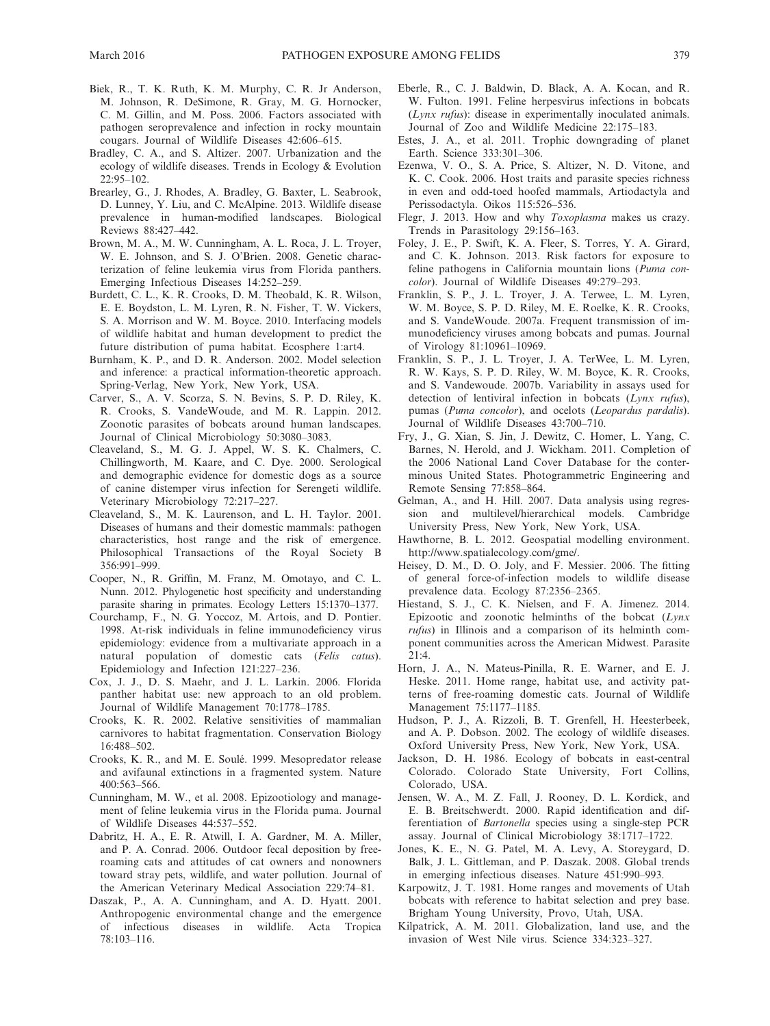- Biek, R., T. K. Ruth, K. M. Murphy, C. R. Jr Anderson, M. Johnson, R. DeSimone, R. Gray, M. G. Hornocker, C. M. Gillin, and M. Poss. 2006. Factors associated with pathogen seroprevalence and infection in rocky mountain cougars. Journal of Wildlife Diseases 42:606–615.
- Bradley, C. A., and S. Altizer. 2007. Urbanization and the ecology of wildlife diseases. Trends in Ecology & Evolution 22:95–102.
- Brearley, G., J. Rhodes, A. Bradley, G. Baxter, L. Seabrook, D. Lunney, Y. Liu, and C. McAlpine. 2013. Wildlife disease prevalence in human-modified landscapes. Biological Reviews 88:427–442.
- Brown, M. A., M. W. Cunningham, A. L. Roca, J. L. Troyer, W. E. Johnson, and S. J. O'Brien. 2008. Genetic characterization of feline leukemia virus from Florida panthers. Emerging Infectious Diseases 14:252–259.
- Burdett, C. L., K. R. Crooks, D. M. Theobald, K. R. Wilson, E. E. Boydston, L. M. Lyren, R. N. Fisher, T. W. Vickers, S. A. Morrison and W. M. Boyce. 2010. Interfacing models of wildlife habitat and human development to predict the future distribution of puma habitat. Ecosphere 1:art4.
- Burnham, K. P., and D. R. Anderson. 2002. Model selection and inference: a practical information-theoretic approach. Spring-Verlag, New York, New York, USA.
- Carver, S., A. V. Scorza, S. N. Bevins, S. P. D. Riley, K. R. Crooks, S. VandeWoude, and M. R. Lappin. 2012. Zoonotic parasites of bobcats around human landscapes. Journal of Clinical Microbiology 50:3080–3083.
- Cleaveland, S., M. G. J. Appel, W. S. K. Chalmers, C. Chillingworth, M. Kaare, and C. Dye. 2000. Serological and demographic evidence for domestic dogs as a source of canine distemper virus infection for Serengeti wildlife. Veterinary Microbiology 72:217–227.
- Cleaveland, S., M. K. Laurenson, and L. H. Taylor. 2001. Diseases of humans and their domestic mammals: pathogen characteristics, host range and the risk of emergence. Philosophical Transactions of the Royal Society B 356:991–999.
- Cooper, N., R. Griffin, M. Franz, M. Omotayo, and C. L. Nunn. 2012. Phylogenetic host specificity and understanding parasite sharing in primates. Ecology Letters 15:1370–1377.
- Courchamp, F., N. G. Yoccoz, M. Artois, and D. Pontier. 1998. At-risk individuals in feline immunodeficiency virus epidemiology: evidence from a multivariate approach in a natural population of domestic cats (*Felis catus*). Epidemiology and Infection 121:227–236.
- Cox, J. J., D. S. Maehr, and J. L. Larkin. 2006. Florida panther habitat use: new approach to an old problem. Journal of Wildlife Management 70:1778–1785.
- Crooks, K. R. 2002. Relative sensitivities of mammalian carnivores to habitat fragmentation. Conservation Biology 16:488–502.
- Crooks, K. R., and M. E. Soulé. 1999. Mesopredator release and avifaunal extinctions in a fragmented system. Nature 400:563–566.
- Cunningham, M. W., et al. 2008. Epizootiology and management of feline leukemia virus in the Florida puma. Journal of Wildlife Diseases 44:537–552.
- Dabritz, H. A., E. R. Atwill, I. A. Gardner, M. A. Miller, and P. A. Conrad. 2006. Outdoor fecal deposition by freeroaming cats and attitudes of cat owners and nonowners toward stray pets, wildlife, and water pollution. Journal of the American Veterinary Medical Association 229:74–81.
- Daszak, P., A. A. Cunningham, and A. D. Hyatt. 2001. Anthropogenic environmental change and the emergence of infectious diseases in wildlife. Acta Tropica 78:103–116.
- Eberle, R., C. J. Baldwin, D. Black, A. A. Kocan, and R. W. Fulton. 1991. Feline herpesvirus infections in bobcats (*Lynx rufus*): disease in experimentally inoculated animals. Journal of Zoo and Wildlife Medicine 22:175–183.
- Estes, J. A., et al. 2011. Trophic downgrading of planet Earth. Science 333:301–306.
- Ezenwa, V. O., S. A. Price, S. Altizer, N. D. Vitone, and K. C. Cook. 2006. Host traits and parasite species richness in even and odd-toed hoofed mammals, Artiodactyla and Perissodactyla. Oikos 115:526–536.
- Flegr, J. 2013. How and why *Toxoplasma* makes us crazy. Trends in Parasitology 29:156–163.
- Foley, J. E., P. Swift, K. A. Fleer, S. Torres, Y. A. Girard, and C. K. Johnson. 2013. Risk factors for exposure to feline pathogens in California mountain lions (*Puma concolor*). Journal of Wildlife Diseases 49:279–293.
- Franklin, S. P., J. L. Troyer, J. A. Terwee, L. M. Lyren, W. M. Boyce, S. P. D. Riley, M. E. Roelke, K. R. Crooks, and S. VandeWoude. 2007a. Frequent transmission of immunodeficiency viruses among bobcats and pumas. Journal of Virology 81:10961–10969.
- Franklin, S. P., J. L. Troyer, J. A. TerWee, L. M. Lyren, R. W. Kays, S. P. D. Riley, W. M. Boyce, K. R. Crooks, and S. Vandewoude. 2007b. Variability in assays used for detection of lentiviral infection in bobcats (*Lynx rufus*), pumas (*Puma concolor*), and ocelots (*Leopardus pardalis*). Journal of Wildlife Diseases 43:700–710.
- Fry, J., G. Xian, S. Jin, J. Dewitz, C. Homer, L. Yang, C. Barnes, N. Herold, and J. Wickham. 2011. Completion of the 2006 National Land Cover Database for the conterminous United States. Photogrammetric Engineering and Remote Sensing 77:858–864.
- Gelman, A., and H. Hill. 2007. Data analysis using regression and multilevel/hierarchical models. Cambridge University Press, New York, New York, USA.
- Hawthorne, B. L. 2012. Geospatial modelling environment. [http://www.spatialecology.com/gme/.](http://www.spatialecology.com/gme/)
- Heisey, D. M., D. O. Joly, and F. Messier. 2006. The fitting of general force-of-infection models to wildlife disease prevalence data. Ecology 87:2356–2365.
- Hiestand, S. J., C. K. Nielsen, and F. A. Jimenez. 2014. Epizootic and zoonotic helminths of the bobcat (*Lynx rufus*) in Illinois and a comparison of its helminth component communities across the American Midwest. Parasite 21:4.
- Horn, J. A., N. Mateus-Pinilla, R. E. Warner, and E. J. Heske. 2011. Home range, habitat use, and activity patterns of free-roaming domestic cats. Journal of Wildlife Management 75:1177–1185.
- Hudson, P. J., A. Rizzoli, B. T. Grenfell, H. Heesterbeek, and A. P. Dobson. 2002. The ecology of wildlife diseases. Oxford University Press, New York, New York, USA.
- Jackson, D. H. 1986. Ecology of bobcats in east-central Colorado. Colorado State University, Fort Collins, Colorado, USA.
- Jensen, W. A., M. Z. Fall, J. Rooney, D. L. Kordick, and E. B. Breitschwerdt. 2000. Rapid identification and differentiation of *Bartonella* species using a single-step PCR assay. Journal of Clinical Microbiology 38:1717–1722.
- Jones, K. E., N. G. Patel, M. A. Levy, A. Storeygard, D. Balk, J. L. Gittleman, and P. Daszak. 2008. Global trends in emerging infectious diseases. Nature 451:990–993.
- Karpowitz, J. T. 1981. Home ranges and movements of Utah bobcats with reference to habitat selection and prey base. Brigham Young University, Provo, Utah, USA.
- Kilpatrick, A. M. 2011. Globalization, land use, and the invasion of West Nile virus. Science 334:323–327.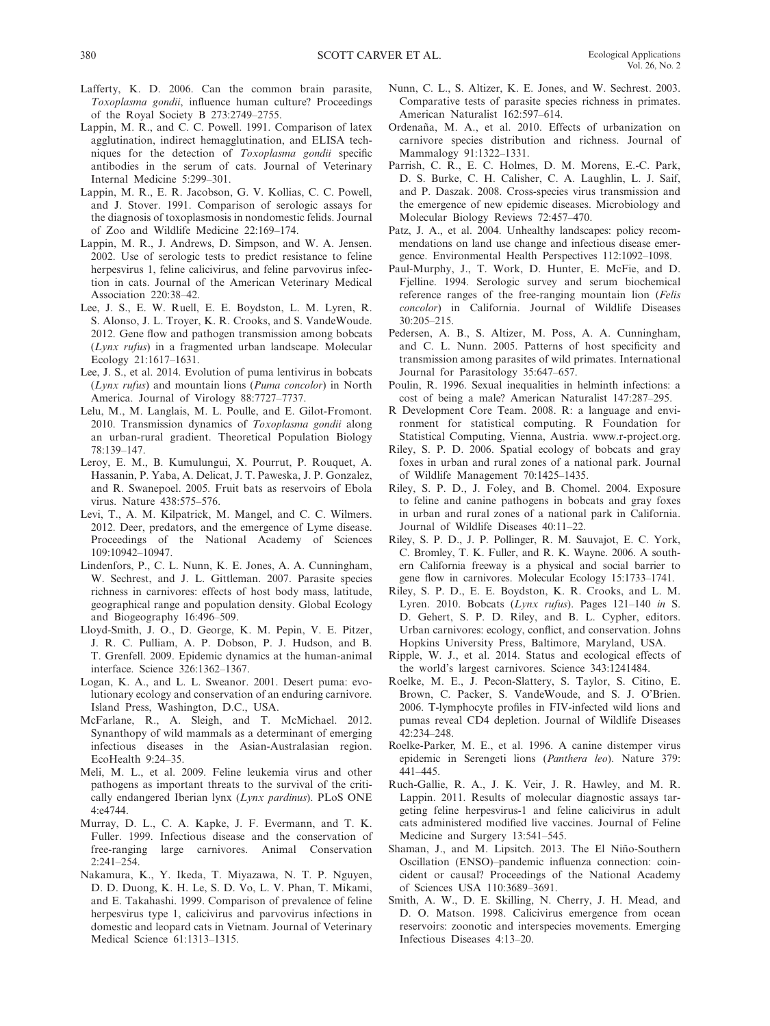- Lafferty, K. D. 2006. Can the common brain parasite, *Toxoplasma gondii*, influence human culture? Proceedings of the Royal Society B 273:2749–2755.
- Lappin, M. R., and C. C. Powell. 1991. Comparison of latex agglutination, indirect hemagglutination, and ELISA techniques for the detection of *Toxoplasma gondii* specific antibodies in the serum of cats. Journal of Veterinary Internal Medicine 5:299–301.
- Lappin, M. R., E. R. Jacobson, G. V. Kollias, C. C. Powell, and J. Stover. 1991. Comparison of serologic assays for the diagnosis of toxoplasmosis in nondomestic felids. Journal of Zoo and Wildlife Medicine 22:169–174.
- Lappin, M. R., J. Andrews, D. Simpson, and W. A. Jensen. 2002. Use of serologic tests to predict resistance to feline herpesvirus 1, feline calicivirus, and feline parvovirus infection in cats. Journal of the American Veterinary Medical Association 220:38–42.
- Lee, J. S., E. W. Ruell, E. E. Boydston, L. M. Lyren, R. S. Alonso, J. L. Troyer, K. R. Crooks, and S. VandeWoude. 2012. Gene flow and pathogen transmission among bobcats (*Lynx rufus*) in a fragmented urban landscape. Molecular Ecology 21:1617–1631.
- Lee, J. S., et al. 2014. Evolution of puma lentivirus in bobcats (*Lynx rufus*) and mountain lions (*Puma concolor*) in North America. Journal of Virology 88:7727–7737.
- Lelu, M., M. Langlais, M. L. Poulle, and E. Gilot-Fromont. 2010. Transmission dynamics of *Toxoplasma gondii* along an urban-rural gradient. Theoretical Population Biology 78:139–147.
- Leroy, E. M., B. Kumulungui, X. Pourrut, P. Rouquet, A. Hassanin, P. Yaba, A. Delicat, J. T. Paweska, J. P. Gonzalez, and R. Swanepoel. 2005. Fruit bats as reservoirs of Ebola virus. Nature 438:575–576.
- Levi, T., A. M. Kilpatrick, M. Mangel, and C. C. Wilmers. 2012. Deer, predators, and the emergence of Lyme disease. Proceedings of the National Academy of Sciences 109:10942–10947.
- Lindenfors, P., C. L. Nunn, K. E. Jones, A. A. Cunningham, W. Sechrest, and J. L. Gittleman. 2007. Parasite species richness in carnivores: effects of host body mass, latitude, geographical range and population density. Global Ecology and Biogeography 16:496–509.
- Lloyd-Smith, J. O., D. George, K. M. Pepin, V. E. Pitzer, J. R. C. Pulliam, A. P. Dobson, P. J. Hudson, and B. T. Grenfell. 2009. Epidemic dynamics at the human-animal interface. Science 326:1362–1367.
- Logan, K. A., and L. L. Sweanor. 2001. Desert puma: evolutionary ecology and conservation of an enduring carnivore. Island Press, Washington, D.C., USA.
- McFarlane, R., A. Sleigh, and T. McMichael. 2012. Synanthopy of wild mammals as a determinant of emerging infectious diseases in the Asian-Australasian region. EcoHealth 9:24–35.
- Meli, M. L., et al. 2009. Feline leukemia virus and other pathogens as important threats to the survival of the critically endangered Iberian lynx (*Lynx pardinus*). PLoS ONE 4:e4744.
- Murray, D. L., C. A. Kapke, J. F. Evermann, and T. K. Fuller. 1999. Infectious disease and the conservation of free-ranging large carnivores. Animal Conservation 2:241–254.
- Nakamura, K., Y. Ikeda, T. Miyazawa, N. T. P. Nguyen, D. D. Duong, K. H. Le, S. D. Vo, L. V. Phan, T. Mikami, and E. Takahashi. 1999. Comparison of prevalence of feline herpesvirus type 1, calicivirus and parvovirus infections in domestic and leopard cats in Vietnam. Journal of Veterinary Medical Science 61:1313–1315.
- Nunn, C. L., S. Altizer, K. E. Jones, and W. Sechrest. 2003. Comparative tests of parasite species richness in primates. American Naturalist 162:597–614.
- Ordenaña, M. A., et al. 2010. Effects of urbanization on carnivore species distribution and richness. Journal of Mammalogy 91:1322–1331.
- Parrish, C. R., E. C. Holmes, D. M. Morens, E.-C. Park, D. S. Burke, C. H. Calisher, C. A. Laughlin, L. J. Saif, and P. Daszak. 2008. Cross-species virus transmission and the emergence of new epidemic diseases. Microbiology and Molecular Biology Reviews 72:457–470.
- Patz, J. A., et al. 2004. Unhealthy landscapes: policy recommendations on land use change and infectious disease emergence. Environmental Health Perspectives 112:1092–1098.
- Paul-Murphy, J., T. Work, D. Hunter, E. McFie, and D. Fjelline. 1994. Serologic survey and serum biochemical reference ranges of the free-ranging mountain lion (*Felis concolor*) in California. Journal of Wildlife Diseases 30:205–215.
- Pedersen, A. B., S. Altizer, M. Poss, A. A. Cunningham, and C. L. Nunn. 2005. Patterns of host specificity and transmission among parasites of wild primates. International Journal for Parasitology 35:647–657.
- Poulin, R. 1996. Sexual inequalities in helminth infections: a cost of being a male? American Naturalist 147:287–295.
- R Development Core Team. 2008. R: a language and environment for statistical computing. R Foundation for Statistical Computing, Vienna, Austria. [www.r-project.org.](http://www.r-project.org)
- Riley, S. P. D. 2006. Spatial ecology of bobcats and gray foxes in urban and rural zones of a national park. Journal of Wildlife Management 70:1425–1435.
- Riley, S. P. D., J. Foley, and B. Chomel. 2004. Exposure to feline and canine pathogens in bobcats and gray foxes in urban and rural zones of a national park in California. Journal of Wildlife Diseases 40:11–22.
- Riley, S. P. D., J. P. Pollinger, R. M. Sauvajot, E. C. York, C. Bromley, T. K. Fuller, and R. K. Wayne. 2006. A southern California freeway is a physical and social barrier to gene flow in carnivores. Molecular Ecology 15:1733–1741.
- Riley, S. P. D., E. E. Boydston, K. R. Crooks, and L. M. Lyren. 2010. Bobcats (*Lynx rufus*). Pages 121–140 *in* S. D. Gehert, S. P. D. Riley, and B. L. Cypher, editors. Urban carnivores: ecology, conflict, and conservation. Johns Hopkins University Press, Baltimore, Maryland, USA.
- Ripple, W. J., et al. 2014. Status and ecological effects of the world's largest carnivores. Science 343:1241484.
- Roelke, M. E., J. Pecon-Slattery, S. Taylor, S. Citino, E. Brown, C. Packer, S. VandeWoude, and S. J. O'Brien. 2006. T-lymphocyte profiles in FIV-infected wild lions and pumas reveal CD4 depletion. Journal of Wildlife Diseases 42:234–248.
- Roelke-Parker, M. E., et al. 1996. A canine distemper virus epidemic in Serengeti lions (*Panthera leo*). Nature 379: 441–445.
- Ruch-Gallie, R. A., J. K. Veir, J. R. Hawley, and M. R. Lappin. 2011. Results of molecular diagnostic assays targeting feline herpesvirus-1 and feline calicivirus in adult cats administered modified live vaccines. Journal of Feline Medicine and Surgery 13:541–545.
- Shaman, J., and M. Lipsitch. 2013. The El Niño-Southern Oscillation (ENSO)–pandemic influenza connection: coincident or causal? Proceedings of the National Academy of Sciences USA 110:3689–3691.
- Smith, A. W., D. E. Skilling, N. Cherry, J. H. Mead, and D. O. Matson. 1998. Calicivirus emergence from ocean reservoirs: zoonotic and interspecies movements. Emerging Infectious Diseases 4:13–20.